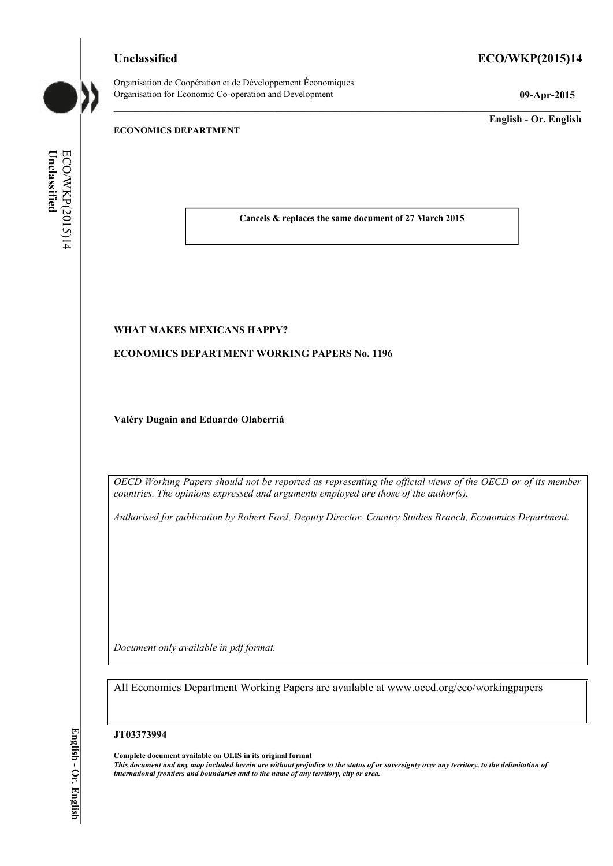**Unclassified ECO/WKP(2015)14**



Organisation de Coopération et de Développement Économiques Organisation for Economic Co-operation and Development **09-Apr-2015**

\_\_\_\_\_\_\_\_\_\_\_\_\_ **English - Or. English**

# **ECONOMICS DEPARTMENT**

ECO/WKP(2015)14 **Unc** ECO/WKP(2015)14 **lassified**

**Cancels & replaces the same document of 27 March 2015**

# **WHAT MAKES MEXICANS HAPPY?**

**ECONOMICS DEPARTMENT WORKING PAPERS No. 1196**

**Valéry Dugain and Eduardo Olaberriá**

*OECD Working Papers should not be reported as representing the official views of the OECD or of its member countries. The opinions expressed and arguments employed are those of the author(s).*

*Authorised for publication by Robert Ford, Deputy Director, Country Studies Branch, Economics Department.*

*Document only available in pdf format.*

All Economics Department Working Papers are available at www.oecd.org/eco/workingpapers

**JT03373994**

**Complete document available on OLIS in its original format** *This document and any map included herein are without prejudice to the status of or sovereignty over any territory, to the delimitation of international frontiers and boundaries and to the name of any territory, city or area.*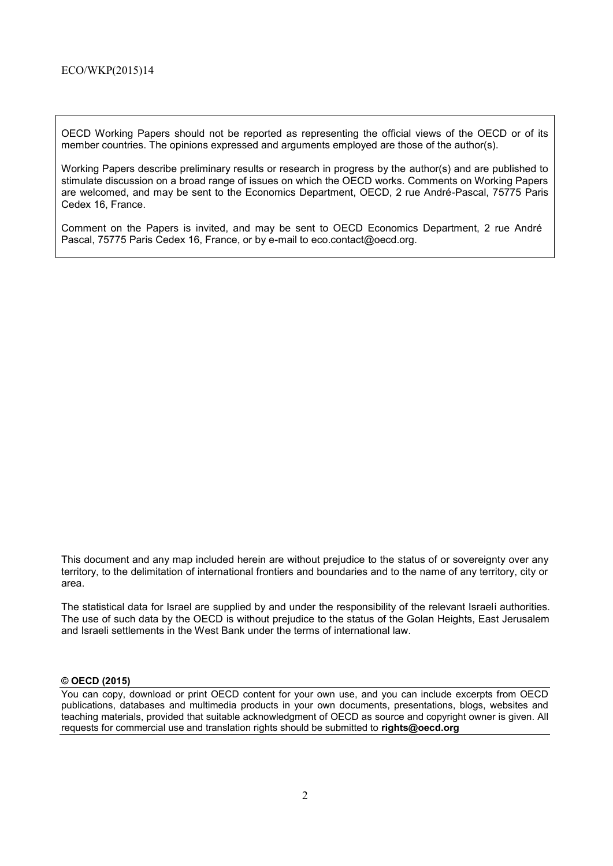OECD Working Papers should not be reported as representing the official views of the OECD or of its member countries. The opinions expressed and arguments employed are those of the author(s).

Working Papers describe preliminary results or research in progress by the author(s) and are published to stimulate discussion on a broad range of issues on which the OECD works. Comments on Working Papers are welcomed, and may be sent to the Economics Department, OECD, 2 rue André-Pascal, 75775 Paris Cedex 16, France.

Comment on the Papers is invited, and may be sent to OECD Economics Department, 2 rue André Pascal, 75775 Paris Cedex 16, France, or by e-mail to eco.contact@oecd.org.

This document and any map included herein are without prejudice to the status of or sovereignty over any territory, to the delimitation of international frontiers and boundaries and to the name of any territory, city or area.

The statistical data for Israel are supplied by and under the responsibility of the relevant Israeli authorities. The use of such data by the OECD is without prejudice to the status of the Golan Heights, East Jerusalem and Israeli settlements in the West Bank under the terms of international law.

### **© OECD (2015)**

You can copy, download or print OECD content for your own use, and you can include excerpts from OECD publications, databases and multimedia products in your own documents, presentations, blogs, websites and teaching materials, provided that suitable acknowledgment of OECD as source and copyright owner is given. All requests for commercial use and translation rights should be submitted to **rights@oecd.org**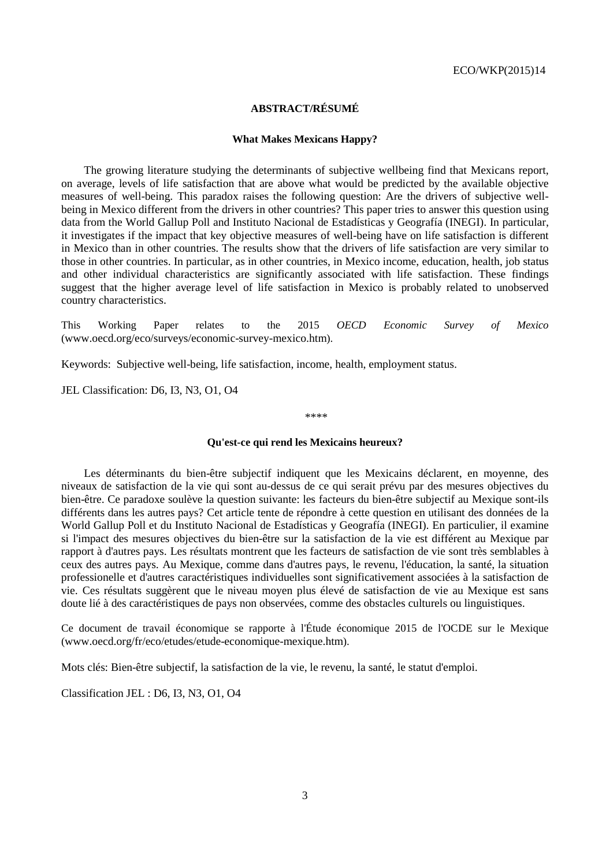# **ABSTRACT/RÉSUMÉ**

#### **What Makes Mexicans Happy?**

The growing literature studying the determinants of subjective wellbeing find that Mexicans report, on average, levels of life satisfaction that are above what would be predicted by the available objective measures of well-being. This paradox raises the following question: Are the drivers of subjective wellbeing in Mexico different from the drivers in other countries? This paper tries to answer this question using data from the World Gallup Poll and Instituto Nacional de Estadísticas y Geografía (INEGI). In particular, it investigates if the impact that key objective measures of well-being have on life satisfaction is different in Mexico than in other countries. The results show that the drivers of life satisfaction are very similar to those in other countries. In particular, as in other countries, in Mexico income, education, health, job status and other individual characteristics are significantly associated with life satisfaction. These findings suggest that the higher average level of life satisfaction in Mexico is probably related to unobserved country characteristics.

This Working Paper relates to the 2015 *OECD Economic Survey of Mexico*  (www.oecd.org/eco/surveys/economic-survey-mexico.htm).

Keywords: Subjective well-being, life satisfaction, income, health, employment status.

JEL Classification: D6, I3, N3, O1, O4

\*\*\*\*

#### **Qu'est-ce qui rend les Mexicains heureux?**

Les déterminants du bien-être subjectif indiquent que les Mexicains déclarent, en moyenne, des niveaux de satisfaction de la vie qui sont au-dessus de ce qui serait prévu par des mesures objectives du bien-être. Ce paradoxe soulève la question suivante: les facteurs du bien-être subjectif au Mexique sont-ils différents dans les autres pays? Cet article tente de répondre à cette question en utilisant des données de la World Gallup Poll et du Instituto Nacional de Estadísticas y Geografía (INEGI). En particulier, il examine si l'impact des mesures objectives du bien-être sur la satisfaction de la vie est différent au Mexique par rapport à d'autres pays. Les résultats montrent que les facteurs de satisfaction de vie sont très semblables à ceux des autres pays. Au Mexique, comme dans d'autres pays, le revenu, l'éducation, la santé, la situation professionelle et d'autres caractéristiques individuelles sont significativement associées à la satisfaction de vie. Ces résultats suggèrent que le niveau moyen plus élevé de satisfaction de vie au Mexique est sans doute lié à des caractéristiques de pays non observées, comme des obstacles culturels ou linguistiques.

Ce document de travail économique se rapporte à l'Étude économique 2015 de l'OCDE sur le Mexique (www.oecd.org/fr/eco/etudes/etude-economique-mexique.htm).

Mots clés: Bien-être subjectif, la satisfaction de la vie, le revenu, la santé, le statut d'emploi.

Classification JEL : D6, I3, N3, O1, O4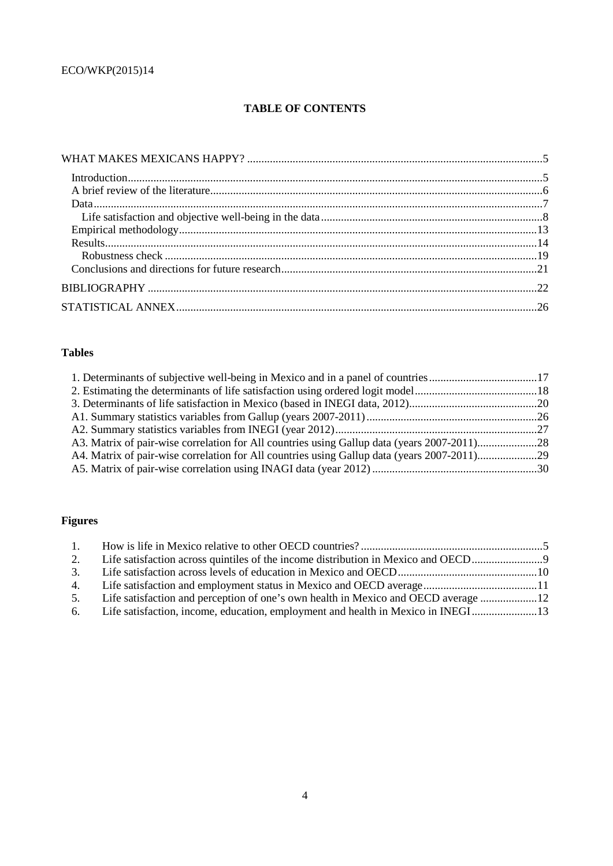# **TABLE OF CONTENTS**

# **Tables**

| A3. Matrix of pair-wise correlation for All countries using Gallup data (years 2007-2011)28 |  |
|---------------------------------------------------------------------------------------------|--|
| A4. Matrix of pair-wise correlation for All countries using Gallup data (years 2007-2011)29 |  |
|                                                                                             |  |
|                                                                                             |  |

# **Figures**

| 1.77 |                                                                                     |  |
|------|-------------------------------------------------------------------------------------|--|
| 2.   | Life satisfaction across quintiles of the income distribution in Mexico and OECD    |  |
|      |                                                                                     |  |
|      |                                                                                     |  |
|      |                                                                                     |  |
|      | 6. Life satisfaction, income, education, employment and health in Mexico in INEGI13 |  |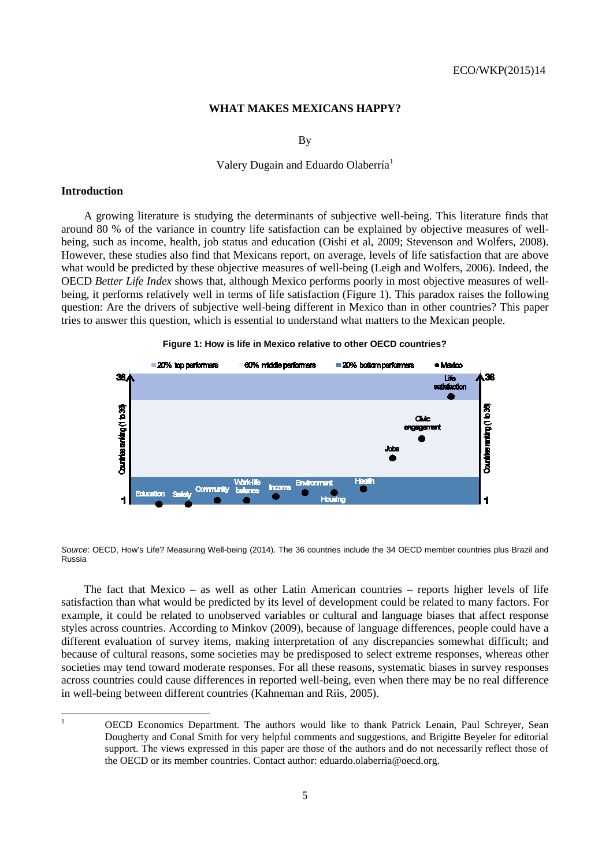# **WHAT MAKES MEXICANS HAPPY?**

By

## Valery Dugain and Eduardo Olaberría<sup>[1](#page-4-0)</sup>

## **Introduction**

A growing literature is studying the determinants of subjective well-being. This literature finds that around 80 % of the variance in country life satisfaction can be explained by objective measures of wellbeing, such as income, health, job status and education (Oishi et al, 2009; Stevenson and Wolfers, 2008). However, these studies also find that Mexicans report, on average, levels of life satisfaction that are above what would be predicted by these objective measures of well-being (Leigh and Wolfers, 2006). Indeed, the OECD *Better Life Index* shows that, although Mexico performs poorly in most objective measures of wellbeing, it performs relatively well in terms of life satisfaction (Figure 1). This paradox raises the following question: Are the drivers of subjective well-being different in Mexico than in other countries? This paper tries to answer this question, which is essential to understand what matters to the Mexican people.



#### **Figure 1: How is life in Mexico relative to other OECD countries?**

*Source*: OECD, How's Life? Measuring Well-being (2014). The 36 countries include the 34 OECD member countries plus Brazil and Russia

The fact that Mexico – as well as other Latin American countries – reports higher levels of life satisfaction than what would be predicted by its level of development could be related to many factors. For example, it could be related to unobserved variables or cultural and language biases that affect response styles across countries. According to Minkov (2009), because of language differences, people could have a different evaluation of survey items, making interpretation of any discrepancies somewhat difficult; and because of cultural reasons, some societies may be predisposed to select extreme responses, whereas other societies may tend toward moderate responses. For all these reasons, systematic biases in survey responses across countries could cause differences in reported well-being, even when there may be no real difference in well-being between different countries (Kahneman and Riis, 2005).

<span id="page-4-0"></span><sup>&</sup>lt;sup>1</sup> OECD Economics Department. The authors would like to thank Patrick Lenain, Paul Schreyer, Sean Dougherty and Conal Smith for very helpful comments and suggestions, and Brigitte Beyeler for editorial support. The views expressed in this paper are those of the authors and do not necessarily reflect those of the OECD or its member countries. Contact author: eduardo.olaberria@oecd.org.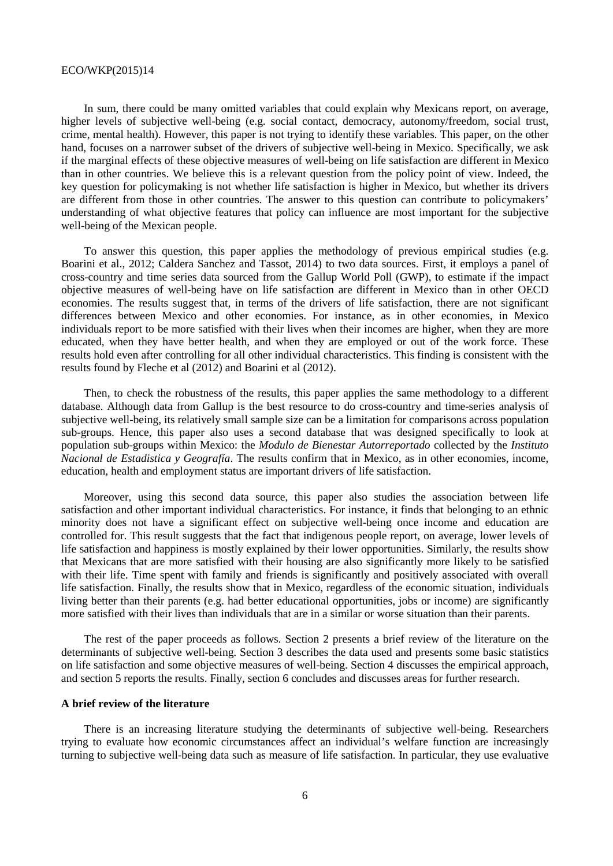In sum, there could be many omitted variables that could explain why Mexicans report, on average, higher levels of subjective well-being (e.g. social contact, democracy, autonomy/freedom, social trust, crime, mental health). However, this paper is not trying to identify these variables. This paper, on the other hand, focuses on a narrower subset of the drivers of subjective well-being in Mexico. Specifically, we ask if the marginal effects of these objective measures of well-being on life satisfaction are different in Mexico than in other countries. We believe this is a relevant question from the policy point of view. Indeed, the key question for policymaking is not whether life satisfaction is higher in Mexico, but whether its drivers are different from those in other countries. The answer to this question can contribute to policymakers' understanding of what objective features that policy can influence are most important for the subjective well-being of the Mexican people.

To answer this question, this paper applies the methodology of previous empirical studies (e.g. Boarini et al., 2012; Caldera Sanchez and Tassot, 2014) to two data sources. First, it employs a panel of cross-country and time series data sourced from the Gallup World Poll (GWP), to estimate if the impact objective measures of well-being have on life satisfaction are different in Mexico than in other OECD economies. The results suggest that, in terms of the drivers of life satisfaction, there are not significant differences between Mexico and other economies. For instance, as in other economies, in Mexico individuals report to be more satisfied with their lives when their incomes are higher, when they are more educated, when they have better health, and when they are employed or out of the work force. These results hold even after controlling for all other individual characteristics. This finding is consistent with the results found by Fleche et al (2012) and Boarini et al (2012).

Then, to check the robustness of the results, this paper applies the same methodology to a different database. Although data from Gallup is the best resource to do cross-country and time-series analysis of subjective well-being, its relatively small sample size can be a limitation for comparisons across population sub-groups. Hence, this paper also uses a second database that was designed specifically to look at population sub-groups within Mexico: the *Modulo de Bienestar Autorreportado* collected by the *Instituto Nacional de Estadistica y Geografía*. The results confirm that in Mexico, as in other economies, income, education, health and employment status are important drivers of life satisfaction.

Moreover, using this second data source, this paper also studies the association between life satisfaction and other important individual characteristics. For instance, it finds that belonging to an ethnic minority does not have a significant effect on subjective well-being once income and education are controlled for. This result suggests that the fact that indigenous people report, on average, lower levels of life satisfaction and happiness is mostly explained by their lower opportunities. Similarly, the results show that Mexicans that are more satisfied with their housing are also significantly more likely to be satisfied with their life. Time spent with family and friends is significantly and positively associated with overall life satisfaction. Finally, the results show that in Mexico, regardless of the economic situation, individuals living better than their parents (e.g. had better educational opportunities, jobs or income) are significantly more satisfied with their lives than individuals that are in a similar or worse situation than their parents.

The rest of the paper proceeds as follows. Section 2 presents a brief review of the literature on the determinants of subjective well-being. Section 3 describes the data used and presents some basic statistics on life satisfaction and some objective measures of well-being. Section 4 discusses the empirical approach, and section 5 reports the results. Finally, section 6 concludes and discusses areas for further research.

## **A brief review of the literature**

There is an increasing literature studying the determinants of subjective well-being. Researchers trying to evaluate how economic circumstances affect an individual's welfare function are increasingly turning to subjective well-being data such as measure of life satisfaction. In particular, they use evaluative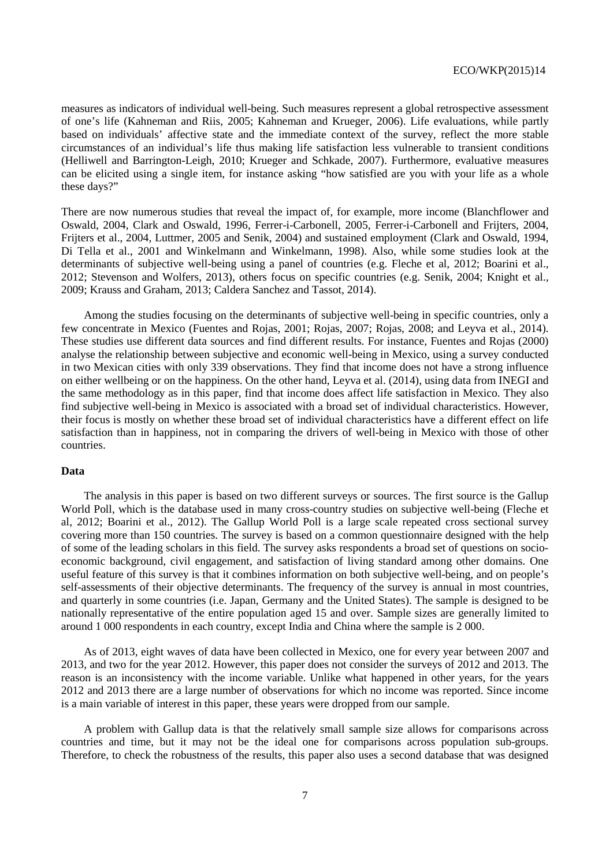measures as indicators of individual well-being. Such measures represent a global retrospective assessment of one's life (Kahneman and Riis, 2005; Kahneman and Krueger, 2006). Life evaluations, while partly based on individuals' affective state and the immediate context of the survey, reflect the more stable circumstances of an individual's life thus making life satisfaction less vulnerable to transient conditions (Helliwell and Barrington-Leigh, 2010; Krueger and Schkade, 2007). Furthermore, evaluative measures can be elicited using a single item, for instance asking "how satisfied are you with your life as a whole these days?"

There are now numerous studies that reveal the impact of, for example, more income (Blanchflower and Oswald, 2004, Clark and Oswald, 1996, Ferrer-i-Carbonell, 2005, Ferrer-i-Carbonell and Frijters, 2004, Frijters et al., 2004, Luttmer, 2005 and Senik, 2004) and sustained employment (Clark and Oswald, 1994, Di Tella et al., 2001 and Winkelmann and Winkelmann, 1998). Also, while some studies look at the determinants of subjective well-being using a panel of countries (e.g. Fleche et al, 2012; Boarini et al., 2012; Stevenson and Wolfers, 2013), others focus on specific countries (e.g. Senik, 2004; Knight et al., 2009; Krauss and Graham, 2013; Caldera Sanchez and Tassot, 2014).

Among the studies focusing on the determinants of subjective well-being in specific countries, only a few concentrate in Mexico (Fuentes and Rojas, 2001; Rojas, 2007; Rojas, 2008; and Leyva et al., 2014). These studies use different data sources and find different results. For instance, Fuentes and Rojas (2000) analyse the relationship between subjective and economic well-being in Mexico, using a survey conducted in two Mexican cities with only 339 observations. They find that income does not have a strong influence on either wellbeing or on the happiness. On the other hand, Leyva et al. (2014), using data from INEGI and the same methodology as in this paper, find that income does affect life satisfaction in Mexico. They also find subjective well-being in Mexico is associated with a broad set of individual characteristics. However, their focus is mostly on whether these broad set of individual characteristics have a different effect on life satisfaction than in happiness, not in comparing the drivers of well-being in Mexico with those of other countries.

# **Data**

The analysis in this paper is based on two different surveys or sources. The first source is the Gallup World Poll, which is the database used in many cross-country studies on subjective well-being (Fleche et al, 2012; Boarini et al., 2012). The Gallup World Poll is a large scale repeated cross sectional survey covering more than 150 countries. The survey is based on a common questionnaire designed with the help of some of the leading scholars in this field. The survey asks respondents a broad set of questions on socioeconomic background, civil engagement, and satisfaction of living standard among other domains. One useful feature of this survey is that it combines information on both subjective well-being, and on people's self-assessments of their objective determinants. The frequency of the survey is annual in most countries, and quarterly in some countries (i.e. Japan, Germany and the United States). The sample is designed to be nationally representative of the entire population aged 15 and over. Sample sizes are generally limited to around 1 000 respondents in each country, except India and China where the sample is 2 000.

As of 2013, eight waves of data have been collected in Mexico, one for every year between 2007 and 2013, and two for the year 2012. However, this paper does not consider the surveys of 2012 and 2013. The reason is an inconsistency with the income variable. Unlike what happened in other years, for the years 2012 and 2013 there are a large number of observations for which no income was reported. Since income is a main variable of interest in this paper, these years were dropped from our sample.

A problem with Gallup data is that the relatively small sample size allows for comparisons across countries and time, but it may not be the ideal one for comparisons across population sub-groups. Therefore, to check the robustness of the results, this paper also uses a second database that was designed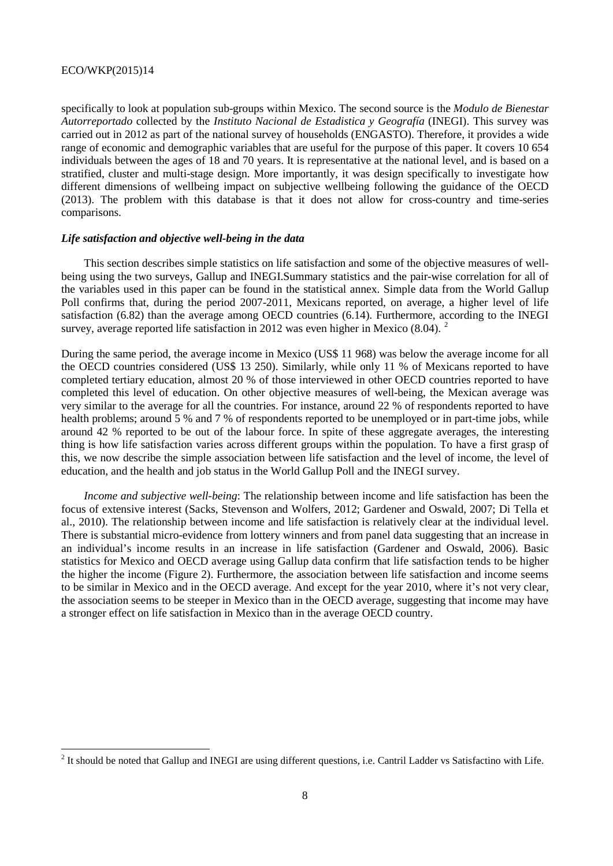specifically to look at population sub-groups within Mexico. The second source is the *Modulo de Bienestar Autorreportado* collected by the *Instituto Nacional de Estadistica y Geografía* (INEGI). This survey was carried out in 2012 as part of the national survey of households (ENGASTO). Therefore, it provides a wide range of economic and demographic variables that are useful for the purpose of this paper. It covers 10 654 individuals between the ages of 18 and 70 years. It is representative at the national level, and is based on a stratified, cluster and multi-stage design. More importantly, it was design specifically to investigate how different dimensions of wellbeing impact on subjective wellbeing following the guidance of the OECD (2013). The problem with this database is that it does not allow for cross-country and time-series comparisons.

## *Life satisfaction and objective well-being in the data*

This section describes simple statistics on life satisfaction and some of the objective measures of wellbeing using the two surveys, Gallup and INEGI.Summary statistics and the pair-wise correlation for all of the variables used in this paper can be found in the statistical annex. Simple data from the World Gallup Poll confirms that, during the period 2007-2011, Mexicans reported, on average, a higher level of life satisfaction (6.82) than the average among OECD countries (6.14). Furthermore, according to the INEGI survey, average reported life satisfaction in [2](#page-7-0)012 was even higher in Mexico  $(8.04)$ .

During the same period, the average income in Mexico (US\$ 11 968) was below the average income for all the OECD countries considered (US\$ 13 250). Similarly, while only 11 % of Mexicans reported to have completed tertiary education, almost 20 % of those interviewed in other OECD countries reported to have completed this level of education. On other objective measures of well-being, the Mexican average was very similar to the average for all the countries. For instance, around 22 % of respondents reported to have health problems; around 5 % and 7 % of respondents reported to be unemployed or in part-time jobs, while around 42 % reported to be out of the labour force. In spite of these aggregate averages, the interesting thing is how life satisfaction varies across different groups within the population. To have a first grasp of this, we now describe the simple association between life satisfaction and the level of income, the level of education, and the health and job status in the World Gallup Poll and the INEGI survey.

*Income and subjective well-being*: The relationship between income and life satisfaction has been the focus of extensive interest (Sacks, Stevenson and Wolfers, 2012; Gardener and Oswald, 2007; Di Tella et al., 2010). The relationship between income and life satisfaction is relatively clear at the individual level. There is substantial micro-evidence from lottery winners and from panel data suggesting that an increase in an individual's income results in an increase in life satisfaction (Gardener and Oswald, 2006). Basic statistics for Mexico and OECD average using Gallup data confirm that life satisfaction tends to be higher the higher the income (Figure 2). Furthermore, the association between life satisfaction and income seems to be similar in Mexico and in the OECD average. And except for the year 2010, where it's not very clear, the association seems to be steeper in Mexico than in the OECD average, suggesting that income may have a stronger effect on life satisfaction in Mexico than in the average OECD country.

<span id="page-7-0"></span> $2$  It should be noted that Gallup and INEGI are using different questions, i.e. Cantril Ladder vs Satisfactino with Life.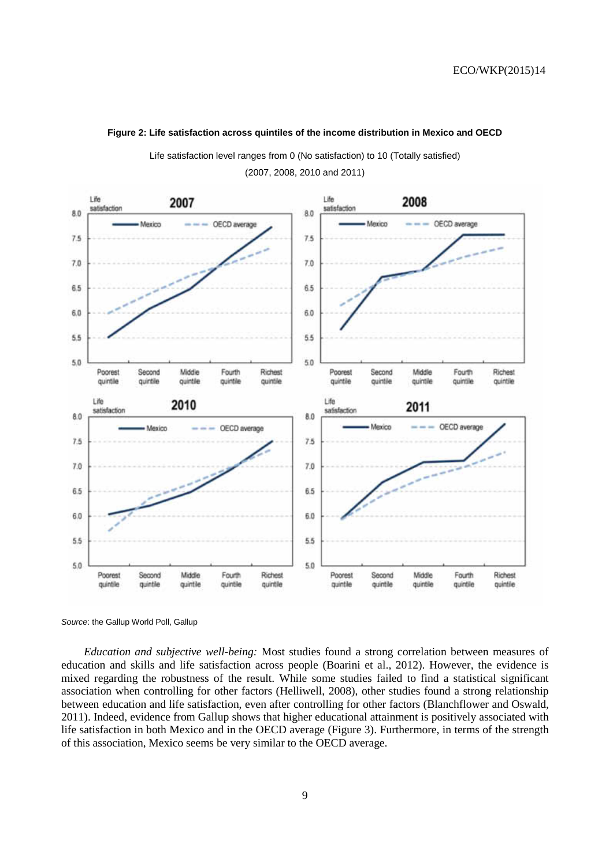

#### **Figure 2: Life satisfaction across quintiles of the income distribution in Mexico and OECD**

Life satisfaction level ranges from 0 (No satisfaction) to 10 (Totally satisfied)

(2007, 2008, 2010 and 2011)

*Source*: the Gallup World Poll, Gallup

*Education and subjective well-being:* Most studies found a strong correlation between measures of education and skills and life satisfaction across people (Boarini et al., 2012). However, the evidence is mixed regarding the robustness of the result. While some studies failed to find a statistical significant association when controlling for other factors (Helliwell, 2008), other studies found a strong relationship between education and life satisfaction, even after controlling for other factors (Blanchflower and Oswald, 2011). Indeed, evidence from Gallup shows that higher educational attainment is positively associated with life satisfaction in both Mexico and in the OECD average (Figure 3). Furthermore, in terms of the strength of this association, Mexico seems be very similar to the OECD average.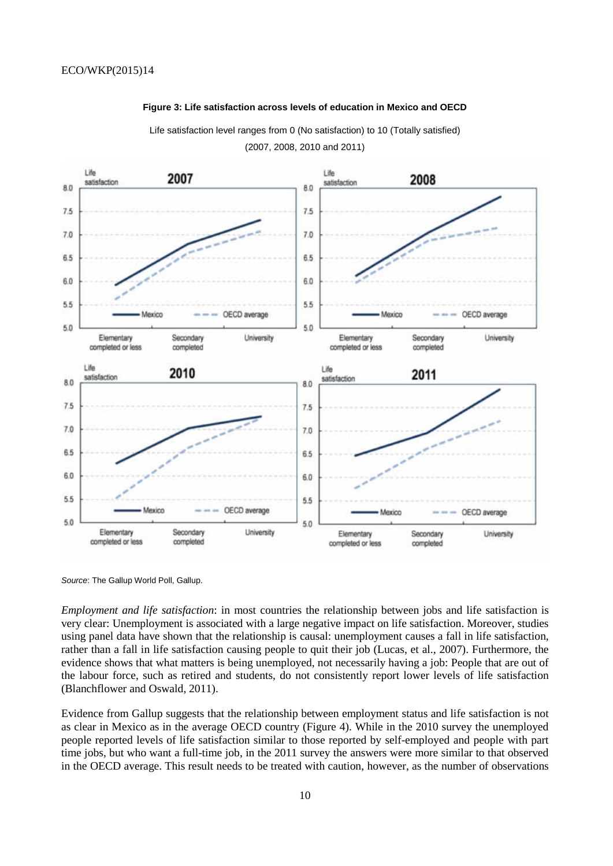

**Figure 3: Life satisfaction across levels of education in Mexico and OECD** 

Life satisfaction level ranges from 0 (No satisfaction) to 10 (Totally satisfied) (2007, 2008, 2010 and 2011)

*Source*: The Gallup World Poll, Gallup.

*Employment and life satisfaction*: in most countries the relationship between jobs and life satisfaction is very clear: Unemployment is associated with a large negative impact on life satisfaction. Moreover, studies using panel data have shown that the relationship is causal: unemployment causes a fall in life satisfaction, rather than a fall in life satisfaction causing people to quit their job (Lucas, et al., 2007). Furthermore, the evidence shows that what matters is being unemployed, not necessarily having a job: People that are out of the labour force, such as retired and students, do not consistently report lower levels of life satisfaction (Blanchflower and Oswald, 2011).

Evidence from Gallup suggests that the relationship between employment status and life satisfaction is not as clear in Mexico as in the average OECD country (Figure 4). While in the 2010 survey the unemployed people reported levels of life satisfaction similar to those reported by self-employed and people with part time jobs, but who want a full-time job, in the 2011 survey the answers were more similar to that observed in the OECD average. This result needs to be treated with caution, however, as the number of observations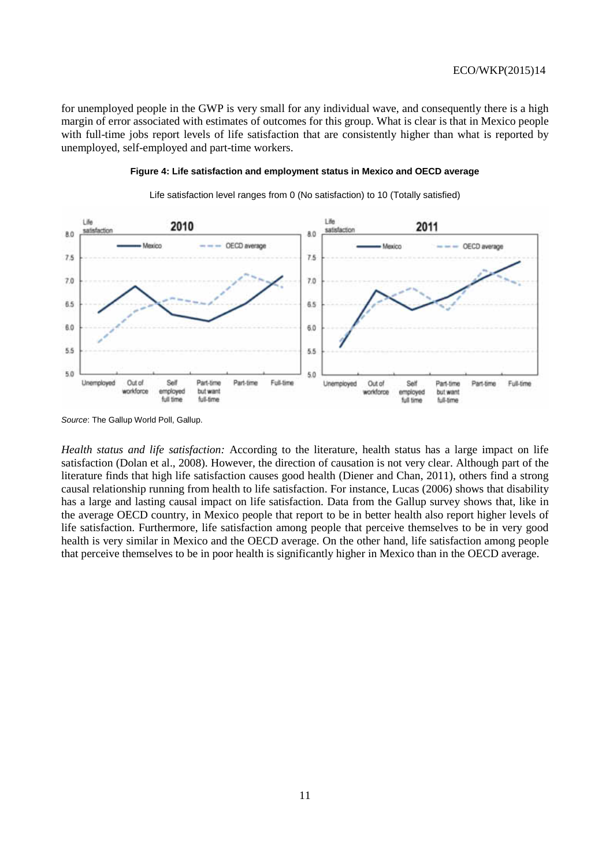for unemployed people in the GWP is very small for any individual wave, and consequently there is a high margin of error associated with estimates of outcomes for this group. What is clear is that in Mexico people with full-time jobs report levels of life satisfaction that are consistently higher than what is reported by unemployed, self-employed and part-time workers.

#### **Figure 4: Life satisfaction and employment status in Mexico and OECD average**



Life satisfaction level ranges from 0 (No satisfaction) to 10 (Totally satisfied)

*Source*: The Gallup World Poll, Gallup.

*Health status and life satisfaction:* According to the literature, health status has a large impact on life satisfaction (Dolan et al., 2008). However, the direction of causation is not very clear. Although part of the literature finds that high life satisfaction causes good health (Diener and Chan, 2011), others find a strong causal relationship running from health to life satisfaction. For instance, Lucas (2006) shows that disability has a large and lasting causal impact on life satisfaction. Data from the Gallup survey shows that, like in the average OECD country, in Mexico people that report to be in better health also report higher levels of life satisfaction. Furthermore, life satisfaction among people that perceive themselves to be in very good health is very similar in Mexico and the OECD average. On the other hand, life satisfaction among people that perceive themselves to be in poor health is significantly higher in Mexico than in the OECD average.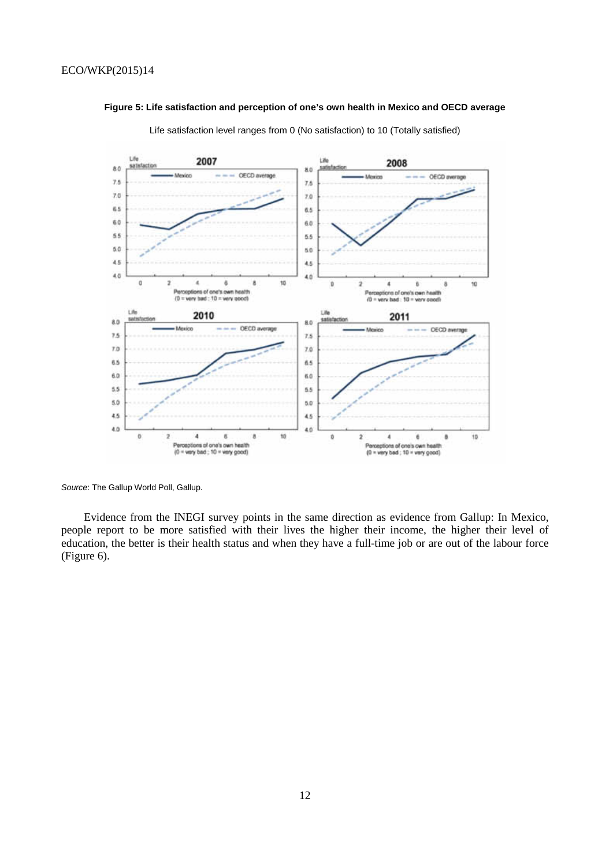

Life satisfaction level ranges from 0 (No satisfaction) to 10 (Totally satisfied)

**Figure 5: Life satisfaction and perception of one's own health in Mexico and OECD average** 

*Source*: The Gallup World Poll, Gallup.

Evidence from the INEGI survey points in the same direction as evidence from Gallup: In Mexico, people report to be more satisfied with their lives the higher their income, the higher their level of education, the better is their health status and when they have a full-time job or are out of the labour force (Figure 6).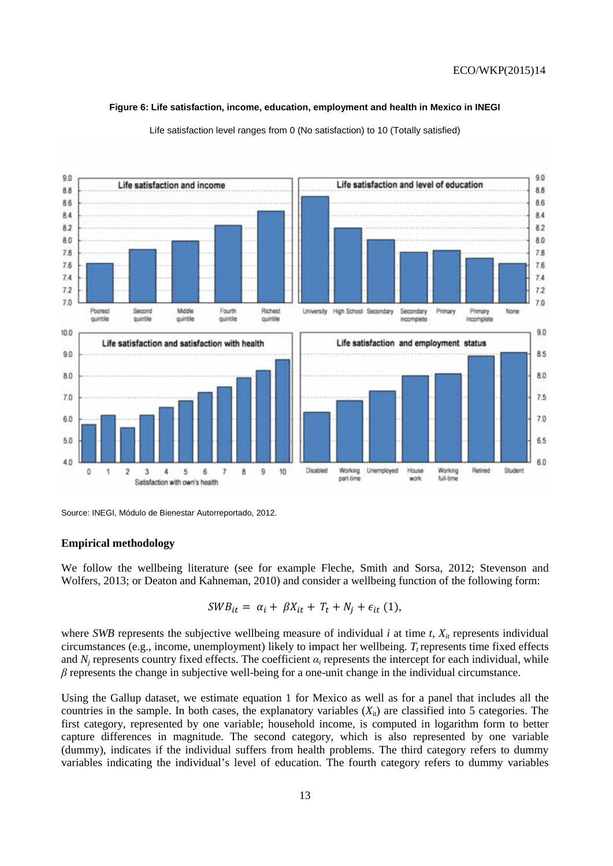#### **Figure 6: Life satisfaction, income, education, employment and health in Mexico in INEGI**



Life satisfaction level ranges from 0 (No satisfaction) to 10 (Totally satisfied)

Source: INEGI, Módulo de Bienestar Autorreportado, 2012.

#### **Empirical methodology**

We follow the wellbeing literature (see for example Fleche, Smith and Sorsa, 2012; Stevenson and Wolfers, 2013; or Deaton and Kahneman, 2010) and consider a wellbeing function of the following form:

$$
SWB_{it} = \alpha_i + \beta X_{it} + T_t + N_j + \epsilon_{it} (1),
$$

where *SWB* represents the subjective wellbeing measure of individual  $i$  at time  $t$ ,  $X_{it}$  represents individual circumstances (e.g., income, unemployment) likely to impact her wellbeing.  $T<sub>t</sub>$  represents time fixed effects and  $N_i$  represents country fixed effects. The coefficient  $\alpha_i$  represents the intercept for each individual, while *β* represents the change in subjective well-being for a one-unit change in the individual circumstance.

Using the Gallup dataset, we estimate equation 1 for Mexico as well as for a panel that includes all the countries in the sample. In both cases, the explanatory variables  $(X_{it})$  are classified into 5 categories. The first category, represented by one variable; household income, is computed in logarithm form to better capture differences in magnitude. The second category, which is also represented by one variable (dummy), indicates if the individual suffers from health problems. The third category refers to dummy variables indicating the individual's level of education. The fourth category refers to dummy variables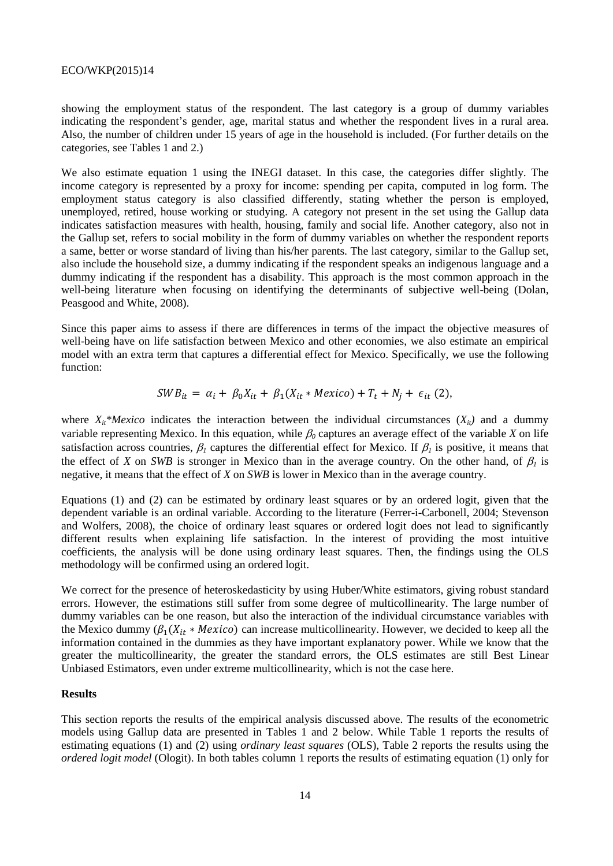showing the employment status of the respondent. The last category is a group of dummy variables indicating the respondent's gender, age, marital status and whether the respondent lives in a rural area. Also, the number of children under 15 years of age in the household is included. (For further details on the categories, see Tables 1 and 2.)

We also estimate equation 1 using the INEGI dataset. In this case, the categories differ slightly. The income category is represented by a proxy for income: spending per capita, computed in log form. The employment status category is also classified differently, stating whether the person is employed, unemployed, retired, house working or studying. A category not present in the set using the Gallup data indicates satisfaction measures with health, housing, family and social life. Another category, also not in the Gallup set, refers to social mobility in the form of dummy variables on whether the respondent reports a same, better or worse standard of living than his/her parents. The last category, similar to the Gallup set, also include the household size, a dummy indicating if the respondent speaks an indigenous language and a dummy indicating if the respondent has a disability. This approach is the most common approach in the well-being literature when focusing on identifying the determinants of subjective well-being (Dolan, Peasgood and White, 2008).

Since this paper aims to assess if there are differences in terms of the impact the objective measures of well-being have on life satisfaction between Mexico and other economies, we also estimate an empirical model with an extra term that captures a differential effect for Mexico. Specifically, we use the following function:

$$
SWB_{it} = \alpha_i + \beta_0 X_{it} + \beta_1 (X_{it} * Mexico) + T_t + N_j + \epsilon_{it} (2),
$$

where  $X_{it}^{*}$ *Mexico* indicates the interaction between the individual circumstances  $(X_{it})$  and a dummy variable representing Mexico. In this equation, while  $\beta_0$  captures an average effect of the variable *X* on life satisfaction across countries,  $\beta_l$  captures the differential effect for Mexico. If  $\beta_l$  is positive, it means that the effect of *X* on *SWB* is stronger in Mexico than in the average country. On the other hand, of  $\beta_1$  is negative, it means that the effect of *X* on *SWB* is lower in Mexico than in the average country.

Equations (1) and (2) can be estimated by ordinary least squares or by an ordered logit, given that the dependent variable is an ordinal variable. According to the literature (Ferrer-i-Carbonell, 2004; Stevenson and Wolfers, 2008), the choice of ordinary least squares or ordered logit does not lead to significantly different results when explaining life satisfaction. In the interest of providing the most intuitive coefficients, the analysis will be done using ordinary least squares. Then, the findings using the OLS methodology will be confirmed using an ordered logit.

We correct for the presence of heteroskedasticity by using Huber/White estimators, giving robust standard errors. However, the estimations still suffer from some degree of multicollinearity. The large number of dummy variables can be one reason, but also the interaction of the individual circumstance variables with the Mexico dummy ( $\beta_1(X_{it} * Mexico)$ ) can increase multicollinearity. However, we decided to keep all the information contained in the dummies as they have important explanatory power. While we know that the greater the multicollinearity, the greater the standard errors, the OLS estimates are still Best Linear Unbiased Estimators, even under extreme multicollinearity, which is not the case here.

## **Results**

This section reports the results of the empirical analysis discussed above. The results of the econometric models using Gallup data are presented in Tables 1 and 2 below. While Table 1 reports the results of estimating equations (1) and (2) using *ordinary least squares* (OLS), Table 2 reports the results using the *ordered logit model* (Ologit). In both tables column 1 reports the results of estimating equation (1) only for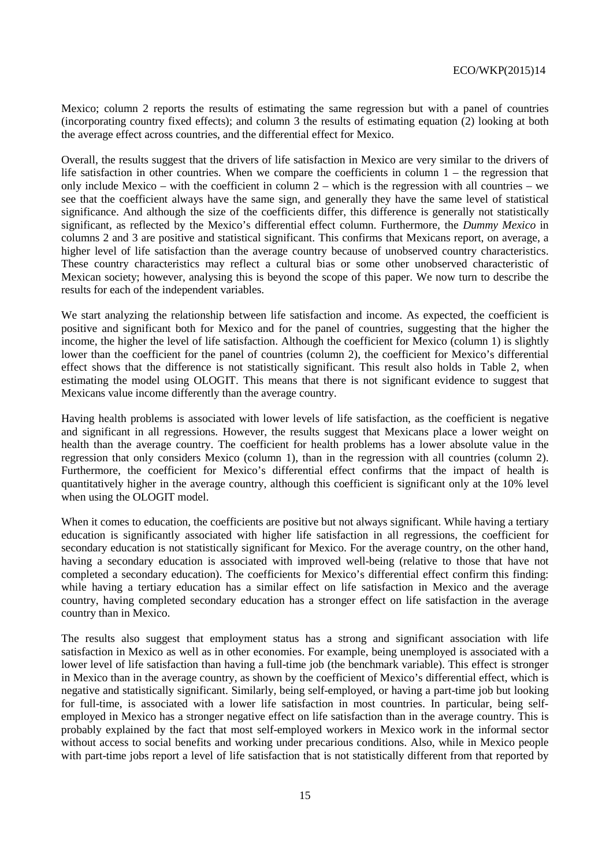Mexico; column 2 reports the results of estimating the same regression but with a panel of countries (incorporating country fixed effects); and column 3 the results of estimating equation (2) looking at both the average effect across countries, and the differential effect for Mexico.

Overall, the results suggest that the drivers of life satisfaction in Mexico are very similar to the drivers of life satisfaction in other countries. When we compare the coefficients in column  $1 -$  the regression that only include Mexico – with the coefficient in column  $2$  – which is the regression with all countries – we see that the coefficient always have the same sign, and generally they have the same level of statistical significance. And although the size of the coefficients differ, this difference is generally not statistically significant, as reflected by the Mexico's differential effect column. Furthermore, the *Dummy Mexico* in columns 2 and 3 are positive and statistical significant. This confirms that Mexicans report, on average, a higher level of life satisfaction than the average country because of unobserved country characteristics. These country characteristics may reflect a cultural bias or some other unobserved characteristic of Mexican society; however, analysing this is beyond the scope of this paper. We now turn to describe the results for each of the independent variables.

We start analyzing the relationship between life satisfaction and income. As expected, the coefficient is positive and significant both for Mexico and for the panel of countries, suggesting that the higher the income, the higher the level of life satisfaction. Although the coefficient for Mexico (column 1) is slightly lower than the coefficient for the panel of countries (column 2), the coefficient for Mexico's differential effect shows that the difference is not statistically significant. This result also holds in Table 2, when estimating the model using OLOGIT. This means that there is not significant evidence to suggest that Mexicans value income differently than the average country.

Having health problems is associated with lower levels of life satisfaction, as the coefficient is negative and significant in all regressions. However, the results suggest that Mexicans place a lower weight on health than the average country. The coefficient for health problems has a lower absolute value in the regression that only considers Mexico (column 1), than in the regression with all countries (column 2). Furthermore, the coefficient for Mexico's differential effect confirms that the impact of health is quantitatively higher in the average country, although this coefficient is significant only at the 10% level when using the OLOGIT model.

When it comes to education, the coefficients are positive but not always significant. While having a tertiary education is significantly associated with higher life satisfaction in all regressions, the coefficient for secondary education is not statistically significant for Mexico. For the average country, on the other hand, having a secondary education is associated with improved well-being (relative to those that have not completed a secondary education). The coefficients for Mexico's differential effect confirm this finding: while having a tertiary education has a similar effect on life satisfaction in Mexico and the average country, having completed secondary education has a stronger effect on life satisfaction in the average country than in Mexico.

The results also suggest that employment status has a strong and significant association with life satisfaction in Mexico as well as in other economies. For example, being unemployed is associated with a lower level of life satisfaction than having a full-time job (the benchmark variable). This effect is stronger in Mexico than in the average country, as shown by the coefficient of Mexico's differential effect, which is negative and statistically significant. Similarly, being self-employed, or having a part-time job but looking for full-time, is associated with a lower life satisfaction in most countries. In particular, being selfemployed in Mexico has a stronger negative effect on life satisfaction than in the average country. This is probably explained by the fact that most self-employed workers in Mexico work in the informal sector without access to social benefits and working under precarious conditions. Also, while in Mexico people with part-time jobs report a level of life satisfaction that is not statistically different from that reported by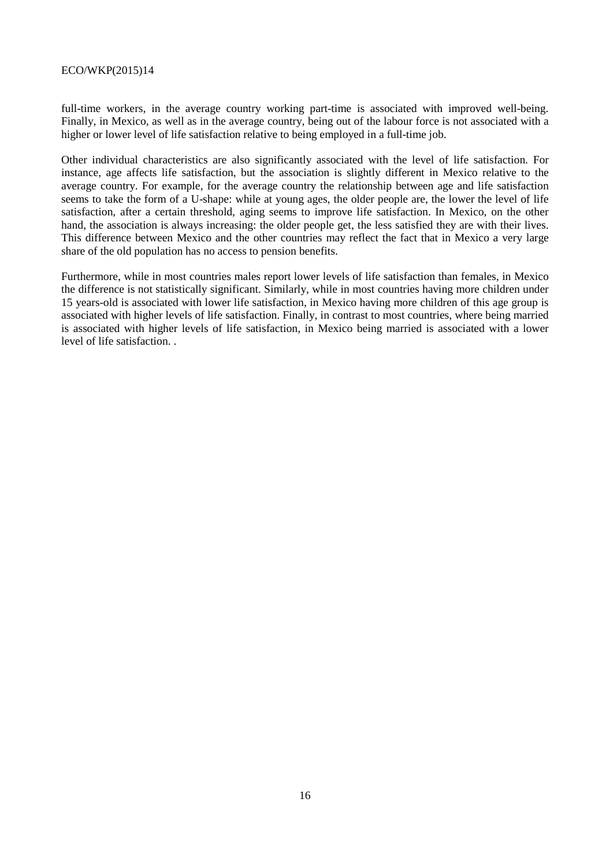full-time workers, in the average country working part-time is associated with improved well-being. Finally, in Mexico, as well as in the average country, being out of the labour force is not associated with a higher or lower level of life satisfaction relative to being employed in a full-time job.

Other individual characteristics are also significantly associated with the level of life satisfaction. For instance, age affects life satisfaction, but the association is slightly different in Mexico relative to the average country. For example, for the average country the relationship between age and life satisfaction seems to take the form of a U-shape: while at young ages, the older people are, the lower the level of life satisfaction, after a certain threshold, aging seems to improve life satisfaction. In Mexico, on the other hand, the association is always increasing: the older people get, the less satisfied they are with their lives. This difference between Mexico and the other countries may reflect the fact that in Mexico a very large share of the old population has no access to pension benefits.

Furthermore, while in most countries males report lower levels of life satisfaction than females, in Mexico the difference is not statistically significant. Similarly, while in most countries having more children under 15 years-old is associated with lower life satisfaction, in Mexico having more children of this age group is associated with higher levels of life satisfaction. Finally, in contrast to most countries, where being married is associated with higher levels of life satisfaction, in Mexico being married is associated with a lower level of life satisfaction. .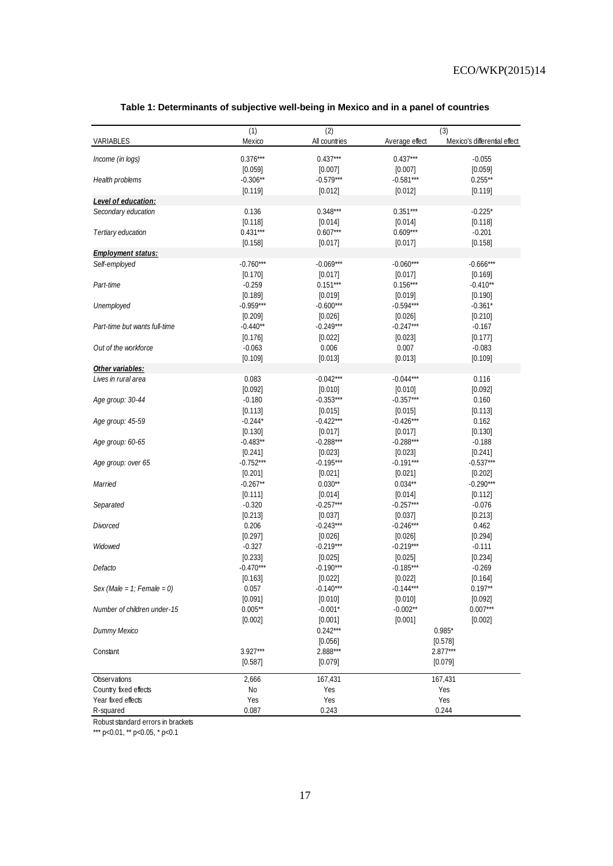|                               |               |                      | (3)            |                              |  |  |  |  |  |  |
|-------------------------------|---------------|----------------------|----------------|------------------------------|--|--|--|--|--|--|
| VARIABLES                     | (1)<br>Mexico | (2)<br>All countries | Average effect | Mexico's differential effect |  |  |  |  |  |  |
| Income (in logs)              | $0.376***$    | $0.437***$           | $0.437***$     | $-0.055$                     |  |  |  |  |  |  |
|                               | [0.059]       | [0.007]              | [0.007]        | [0.059]                      |  |  |  |  |  |  |
| Health problems               | $-0.306**$    | $-0.579***$          | $-0.581***$    | $0.255***$                   |  |  |  |  |  |  |
|                               | [0.119]       | [0.012]              | [0.012]        | [0.119]                      |  |  |  |  |  |  |
| Level of education:           |               |                      |                |                              |  |  |  |  |  |  |
| Secondary education           | 0.136         | $0.348***$           | $0.351***$     | $-0.225*$                    |  |  |  |  |  |  |
|                               | [0.118]       | [0.014]              | [0.014]        | [0.118]                      |  |  |  |  |  |  |
| Tertiary education            | $0.431***$    | $0.607***$           | $0.609***$     | $-0.201$                     |  |  |  |  |  |  |
|                               | [0.158]       | [0.017]              | [0.017]        | [0.158]                      |  |  |  |  |  |  |
| <b>Employment status:</b>     |               |                      |                |                              |  |  |  |  |  |  |
| Self-employed                 | $-0.760***$   | $-0.069***$          | $-0.060***$    | $-0.666***$                  |  |  |  |  |  |  |
|                               | [0.170]       | [0.017]              | [0.017]        | [0.169]                      |  |  |  |  |  |  |
| Part-time                     | $-0.259$      | $0.151***$           | $0.156***$     | $-0.410**$                   |  |  |  |  |  |  |
|                               | [0.189]       | [0.019]              | [0.019]        | [0.190]                      |  |  |  |  |  |  |
| Unemployed                    | $-0.959***$   | $-0.600***$          | $-0.594***$    | $-0.361*$                    |  |  |  |  |  |  |
|                               | [0.209]       | [0.026]              | [0.026]        | [0.210]                      |  |  |  |  |  |  |
| Part-time but wants full-time | $-0.440**$    | $-0.249***$          | $-0.247***$    | $-0.167$                     |  |  |  |  |  |  |
|                               | [0.176]       | [0.022]              | [0.023]        | [0.177]                      |  |  |  |  |  |  |
| Out of the workforce          | $-0.063$      | 0.006                | 0.007          | $-0.083$                     |  |  |  |  |  |  |
|                               | [0.109]       | [0.013]              | [0.013]        | [0.109]                      |  |  |  |  |  |  |
| Other variables:              |               |                      |                |                              |  |  |  |  |  |  |
| Lives in rural area           | 0.083         | $-0.042***$          | $-0.044***$    | 0.116                        |  |  |  |  |  |  |
|                               | [0.092]       | [0.010]              | [0.010]        | [0.092]                      |  |  |  |  |  |  |
| Age group: 30-44              | $-0.180$      | $-0.353***$          | $-0.357***$    | 0.160                        |  |  |  |  |  |  |
|                               | [0.113]       | [0.015]              | [0.015]        | [0.113]                      |  |  |  |  |  |  |
| Age group: 45-59              | $-0.244*$     | $-0.422***$          | $-0.426***$    | 0.162                        |  |  |  |  |  |  |
|                               | [0.130]       | [0.017]              | [0.017]        | [0.130]                      |  |  |  |  |  |  |
| Age group: 60-65              | $-0.483**$    | $-0.288***$          | $-0.288***$    | $-0.188$                     |  |  |  |  |  |  |
|                               | [0.241]       | [0.023]              | [0.023]        | [0.241]                      |  |  |  |  |  |  |
| Age group: over 65            | $-0.752***$   | $-0.195***$          | $-0.191***$    | $-0.537***$                  |  |  |  |  |  |  |
|                               | [0.201]       | [0.021]              | [0.021]        | [0.202]                      |  |  |  |  |  |  |
| Married                       | $-0.267**$    | $0.030**$            | $0.034**$      | $-0.290***$                  |  |  |  |  |  |  |
|                               | [0.111]       | [0.014]              | [0.014]        | [0.112]                      |  |  |  |  |  |  |
| Separated                     | $-0.320$      | $-0.257***$          | $-0.257***$    | $-0.076$                     |  |  |  |  |  |  |
|                               | [0.213]       | [0.037]              | [0.037]        | [0.213]                      |  |  |  |  |  |  |
| Divorced                      | 0.206         | $-0.243***$          | $-0.246***$    | 0.462                        |  |  |  |  |  |  |
|                               | [0.297]       | [0.026]              | [0.026]        | [0.294]                      |  |  |  |  |  |  |
| Widowed                       | $-0.327$      | $-0.219***$          | $-0.219***$    | $-0.111$                     |  |  |  |  |  |  |
|                               | [0.233]       | [0.025]              | [0.025]        | [0.234]                      |  |  |  |  |  |  |
| Defacto                       | $-0.470***$   | $-0.190***$          | $-0.185***$    | $-0.269$                     |  |  |  |  |  |  |
|                               | [0.163]       | [0.022]              | [0.022]        | [0.164]                      |  |  |  |  |  |  |
| $Sex (Male = 1; Female = 0)$  | 0.057         | $-0.140***$          | $-0.144***$    | $0.197**$                    |  |  |  |  |  |  |
|                               | [0.091]       | [0.010]              | [0.010]        | [0.092]                      |  |  |  |  |  |  |
| Number of children under-15   | $0.005**$     | $-0.001*$            | $-0.002**$     | $0.007***$                   |  |  |  |  |  |  |
|                               | [0.002]       | [0.001]              | [0.001]        | [0.002]                      |  |  |  |  |  |  |
| Dummy Mexico                  |               | $0.242***$           |                | $0.985*$                     |  |  |  |  |  |  |
|                               |               | [0.056]              |                | [0.578]                      |  |  |  |  |  |  |
| Constant                      | $3.927***$    | 2.888***             |                | $2.877***$                   |  |  |  |  |  |  |
|                               | [0.587]       | [0.079]              |                | [0.079]                      |  |  |  |  |  |  |
| Observations                  | 2,666         | 167,431              |                | 167,431                      |  |  |  |  |  |  |
| Country fixed effects         | No            | Yes                  |                | Yes                          |  |  |  |  |  |  |
| Year fixed effects            | Yes           | Yes                  |                | Yes                          |  |  |  |  |  |  |
| R-squared                     | 0.087         | 0.243                |                | 0.244                        |  |  |  |  |  |  |

# **Table 1: Determinants of subjective well-being in Mexico and in a panel of countries**

Robust standard errors in brackets

\*\*\* p<0.01, \*\* p<0.05, \* p<0.1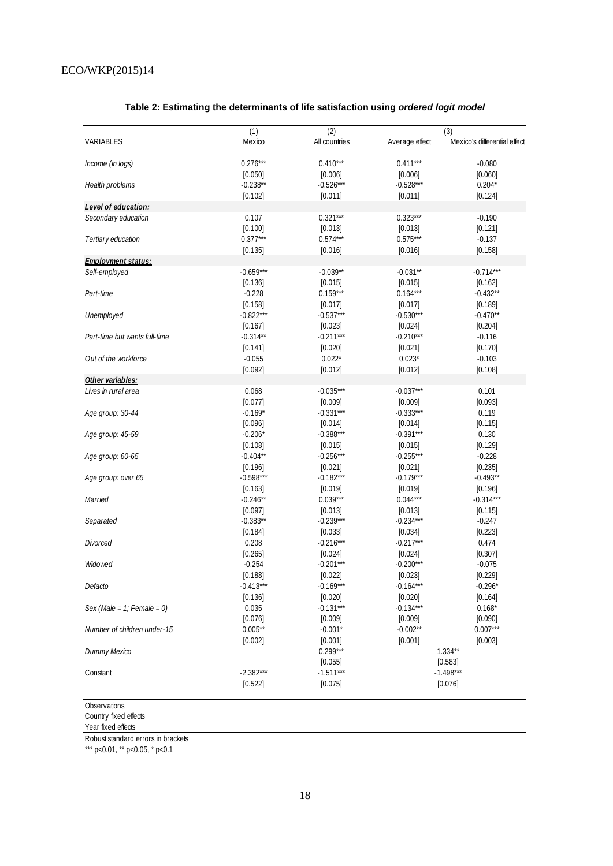|                                            | (1)         | (2)                   |                | (3)                          |  |  |  |  |  |
|--------------------------------------------|-------------|-----------------------|----------------|------------------------------|--|--|--|--|--|
| VARIABLES                                  | Mexico      | All countries         | Average effect | Mexico's differential effect |  |  |  |  |  |
| Income (in logs)                           | $0.276***$  | $0.410***$            | $0.411***$     | $-0.080$                     |  |  |  |  |  |
|                                            | [0.050]     | [0.006]               | [0.006]        | [0.060]                      |  |  |  |  |  |
| Health problems                            | $-0.238**$  | $-0.526***$           | $-0.528***$    | $0.204*$                     |  |  |  |  |  |
|                                            |             |                       |                |                              |  |  |  |  |  |
|                                            | [0.102]     | [0.011]               | [0.011]        | [0.124]                      |  |  |  |  |  |
| Level of education:<br>Secondary education | 0.107       | $0.321***$            | $0.323***$     | $-0.190$                     |  |  |  |  |  |
|                                            |             |                       |                |                              |  |  |  |  |  |
|                                            | [0.100]     | [0.013]<br>$0.574***$ | [0.013]        | [0.121]                      |  |  |  |  |  |
| Tertiary education                         | $0.377***$  |                       | $0.575***$     | $-0.137$                     |  |  |  |  |  |
|                                            | [0.135]     | [0.016]               | [0.016]        | [0.158]                      |  |  |  |  |  |
| <b>Employment status:</b>                  |             |                       |                |                              |  |  |  |  |  |
| Self-employed                              | $-0.659***$ | $-0.039**$            | $-0.031**$     | $-0.714***$                  |  |  |  |  |  |
|                                            | [0.136]     | [0.015]               | [0.015]        | [0.162]                      |  |  |  |  |  |
| Part-time                                  | $-0.228$    | $0.159***$            | $0.164***$     | $-0.432**$                   |  |  |  |  |  |
|                                            | [0.158]     | [0.017]               | [0.017]        | [0.189]                      |  |  |  |  |  |
| Unemployed                                 | $-0.822***$ | $-0.537***$           | $-0.530***$    | $-0.470**$                   |  |  |  |  |  |
|                                            | [0.167]     | [0.023]               | [0.024]        | [0.204]                      |  |  |  |  |  |
| Part-time but wants full-time              | $-0.314**$  | $-0.211***$           | $-0.210***$    | $-0.116$                     |  |  |  |  |  |
|                                            | [0.141]     | [0.020]               | [0.021]        | [0.170]                      |  |  |  |  |  |
| Out of the workforce                       | $-0.055$    | $0.022*$              | $0.023*$       | $-0.103$                     |  |  |  |  |  |
|                                            | [0.092]     | [0.012]               | [0.012]        | [0.108]                      |  |  |  |  |  |
| Other variables:                           |             |                       |                |                              |  |  |  |  |  |
| Lives in rural area                        | 0.068       | $-0.035***$           | $-0.037***$    | 0.101                        |  |  |  |  |  |
|                                            | [0.077]     | [0.009]               | [0.009]        | [0.093]                      |  |  |  |  |  |
| Age group: 30-44                           | $-0.169*$   | $-0.331***$           | $-0.333***$    | 0.119                        |  |  |  |  |  |
|                                            | [0.096]     | [0.014]               | [0.014]        | [0.115]                      |  |  |  |  |  |
| Age group: 45-59                           | $-0.206*$   | $-0.388***$           | $-0.391***$    | 0.130                        |  |  |  |  |  |
|                                            | [0.108]     | [0.015]               | [0.015]        | [0.129]                      |  |  |  |  |  |
| Age group: 60-65                           | $-0.404**$  | $-0.256***$           | $-0.255***$    | $-0.228$                     |  |  |  |  |  |
|                                            | [0.196]     | [0.021]               | [0.021]        | [0.235]                      |  |  |  |  |  |
| Age group: over 65                         | $-0.598***$ | $-0.182***$           | $-0.179***$    | $-0.493**$                   |  |  |  |  |  |
|                                            | [0.163]     | [0.019]               | [0.019]        | [0.196]                      |  |  |  |  |  |
| Married                                    | $-0.246**$  | $0.039***$            | $0.044***$     | $-0.314***$                  |  |  |  |  |  |
|                                            | [0.097]     | [0.013]               | [0.013]        | [0.115]                      |  |  |  |  |  |
| Separated                                  | $-0.383**$  | $-0.239***$           | $-0.234***$    | $-0.247$                     |  |  |  |  |  |
|                                            | [0.184]     | [0.033]               | [0.034]        | [0.223]                      |  |  |  |  |  |
| Divorced                                   | 0.208       | $-0.216***$           | $-0.217***$    | 0.474                        |  |  |  |  |  |
|                                            | [0.265]     | [0.024]               | [0.024]        | [0.307]                      |  |  |  |  |  |
| Widowed                                    | $-0.254$    | $-0.201***$           | $-0.200***$    | $-0.075$                     |  |  |  |  |  |
|                                            | [0.188]     | [0.022]               | [0.023]        | [0.229]                      |  |  |  |  |  |
| Defacto                                    | $-0.413**$  | $-0.169***$           | $-0.164***$    | $-0.296$                     |  |  |  |  |  |
|                                            | [0.136]     | [0.020]               | [0.020]        | [0.164]                      |  |  |  |  |  |
| Sex (Male = $1$ ; Female = 0)              | 0.035       | $-0.131***$           | $-0.134***$    | $0.168*$                     |  |  |  |  |  |
|                                            | [0.076]     | [0.009]               | [0.009]        | [0.090]                      |  |  |  |  |  |
| Number of children under-15                | $0.005**$   | $-0.001*$             | $-0.002**$     | $0.007***$                   |  |  |  |  |  |
|                                            | [0.002]     | [0.001]               | [0.001]        | [0.003]                      |  |  |  |  |  |
| Dummy Mexico                               |             | $0.299***$            | $1.334**$      |                              |  |  |  |  |  |
|                                            |             | [0.055]               |                | [0.583]                      |  |  |  |  |  |
| Constant                                   | $-2.382***$ | $-1.511***$           |                | $-1.498***$                  |  |  |  |  |  |
|                                            | [0.522]     | [0.075]               |                | [0.076]                      |  |  |  |  |  |
|                                            |             |                       |                |                              |  |  |  |  |  |
|                                            |             |                       |                |                              |  |  |  |  |  |

# **Table 2: Estimating the determinants of life satisfaction using** *ordered logit model*

**Observations** 

Country fixed effects

Year fixed effects

Robust standard errors in brackets

\*\*\* p<0.01, \*\* p<0.05, \* p<0.1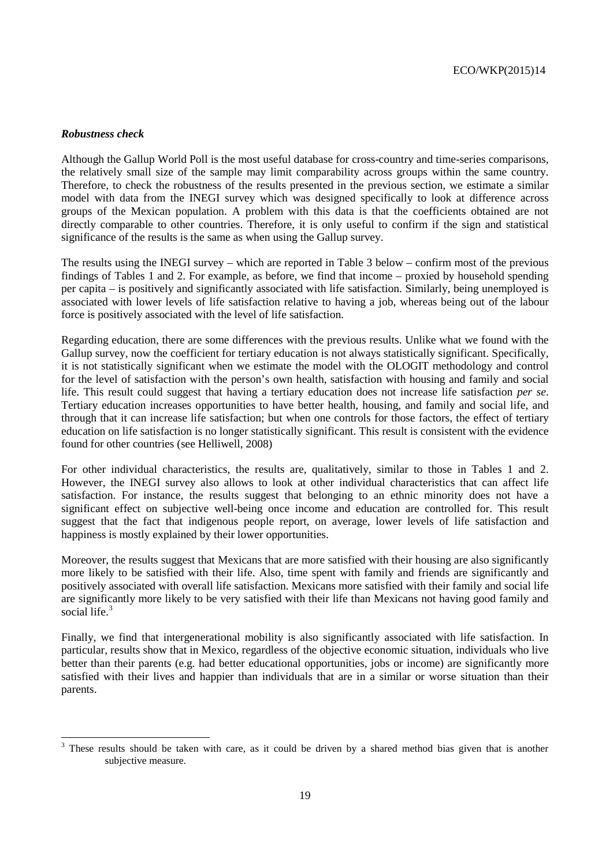# *Robustness check*

Although the Gallup World Poll is the most useful database for cross-country and time-series comparisons, the relatively small size of the sample may limit comparability across groups within the same country. Therefore, to check the robustness of the results presented in the previous section, we estimate a similar model with data from the INEGI survey which was designed specifically to look at difference across groups of the Mexican population. A problem with this data is that the coefficients obtained are not directly comparable to other countries. Therefore, it is only useful to confirm if the sign and statistical significance of the results is the same as when using the Gallup survey.

The results using the INEGI survey – which are reported in Table 3 below – confirm most of the previous findings of Tables 1 and 2. For example, as before, we find that income – proxied by household spending per capita – is positively and significantly associated with life satisfaction. Similarly, being unemployed is associated with lower levels of life satisfaction relative to having a job, whereas being out of the labour force is positively associated with the level of life satisfaction.

Regarding education, there are some differences with the previous results. Unlike what we found with the Gallup survey, now the coefficient for tertiary education is not always statistically significant. Specifically, it is not statistically significant when we estimate the model with the OLOGIT methodology and control for the level of satisfaction with the person's own health, satisfaction with housing and family and social life. This result could suggest that having a tertiary education does not increase life satisfaction *per se*. Tertiary education increases opportunities to have better health, housing, and family and social life, and through that it can increase life satisfaction; but when one controls for those factors, the effect of tertiary education on life satisfaction is no longer statistically significant. This result is consistent with the evidence found for other countries (see Helliwell, 2008)

For other individual characteristics, the results are, qualitatively, similar to those in Tables 1 and 2. However, the INEGI survey also allows to look at other individual characteristics that can affect life satisfaction. For instance, the results suggest that belonging to an ethnic minority does not have a significant effect on subjective well-being once income and education are controlled for. This result suggest that the fact that indigenous people report, on average, lower levels of life satisfaction and happiness is mostly explained by their lower opportunities.

Moreover, the results suggest that Mexicans that are more satisfied with their housing are also significantly more likely to be satisfied with their life. Also, time spent with family and friends are significantly and positively associated with overall life satisfaction. Mexicans more satisfied with their family and social life are significantly more likely to be very satisfied with their life than Mexicans not having good family and social life.<sup>[3](#page-18-0)</sup>

Finally, we find that intergenerational mobility is also significantly associated with life satisfaction. In particular, results show that in Mexico, regardless of the objective economic situation, individuals who live better than their parents (e.g. had better educational opportunities, jobs or income) are significantly more satisfied with their lives and happier than individuals that are in a similar or worse situation than their parents.

<span id="page-18-0"></span>These results should be taken with care, as it could be driven by a shared method bias given that is another subjective measure.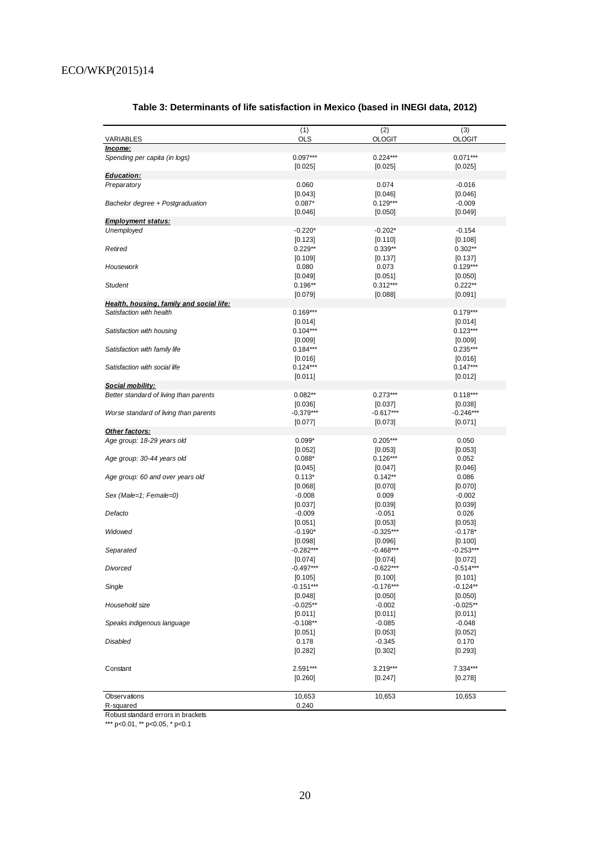|                                          | (1)                      | (2)                    | (3)                      |
|------------------------------------------|--------------------------|------------------------|--------------------------|
| VARIABLES                                | <b>OLS</b>               | <b>OLOGIT</b>          | <b>OLOGIT</b>            |
| Income:<br>Spending per capita (in logs) | $0.097***$               | $0.224***$             | $0.071***$               |
|                                          | [0.025]                  | [0.025]                | [0.025]                  |
| Education:                               |                          |                        |                          |
| Preparatory                              | 0.060                    | 0.074                  | $-0.016$                 |
|                                          | [0.043]                  | [0.046]                | [0.046]                  |
| Bachelor degree + Postgraduation         | $0.087*$                 | $0.129***$             | $-0.009$                 |
|                                          | [0.046]                  | [0.050]                | [0.049]                  |
| <b>Employment status:</b>                |                          |                        |                          |
| Unemployed                               | $-0.220*$                | $-0.202*$              | $-0.154$                 |
| Retired                                  | [0.123]<br>$0.229**$     | [0.110]<br>$0.339**$   | [0.108]<br>$0.302**$     |
|                                          | [0.109]                  | [0.137]                | [0.137]                  |
| Housework                                | 0.080                    | 0.073                  | $0.129***$               |
|                                          | [0.049]                  | [0.051]                | $[0.050]$                |
| Student                                  | $0.196**$                | $0.312***$             | $0.222**$                |
|                                          | [0.079]                  | [0.088]                | [0.091]                  |
| Health, housing, family and social life: |                          |                        |                          |
| Satisfaction with health                 | $0.169***$               |                        | $0.179***$               |
|                                          | [0.014]                  |                        | [0.014]                  |
| Satisfaction with housing                | $0.104***$               |                        | $0.123***$               |
|                                          | [0.009]                  |                        | [0.009]                  |
| Satisfaction with family life            | $0.184***$               |                        | $0.235***$               |
| Satisfaction with social life            | [0.016]<br>$0.124***$    |                        | [0.016]<br>$0.147***$    |
|                                          | [0.011]                  |                        | [0.012]                  |
| Social mobility:                         |                          |                        |                          |
| Better standard of living than parents   | $0.082**$                | $0.273***$             | $0.118***$               |
|                                          | [0.036]                  | [0.037]                | [0.038]                  |
| Worse standard of living than parents    | $-0.379***$              | $-0.617***$            | $-0.246***$              |
|                                          | [0.077]                  | [0.073]                | [0.071]                  |
| Other factors:                           |                          |                        |                          |
| Age group: 18-29 years old               | $0.099*$                 | $0.205***$             | 0.050                    |
|                                          | [0.052]                  | [0.053]                | [0.053]                  |
| Age group: 30-44 years old               | $0.088*$<br>[0.045]      | $0.126***$<br>[0.047]  | 0.052<br>[0.046]         |
| Age group: 60 and over years old         | $0.113*$                 | $0.142**$              | 0.086                    |
|                                          | [0.068]                  | [0.070]                | [0.070]                  |
| Sex (Male=1; Female=0)                   | $-0.008$                 | 0.009                  | $-0.002$                 |
|                                          | [0.037]                  | [0.039]                | [0.039]                  |
| Defacto                                  | $-0.009$                 | $-0.051$               | 0.026                    |
|                                          | [0.051]                  | [0.053]                | [0.053]                  |
| Widowed                                  | $-0.190*$                | $-0.325***$            | $-0.178*$                |
|                                          | [0.098]                  | [0.096]                | [0.100]                  |
| Separated                                | $-0.282***$              | $-0.468***$            | $-0.253***$              |
| Divorced                                 | $[0.074]$<br>$-0.497***$ | [0.074]<br>$-0.622***$ | $[0.072]$<br>$-0.514***$ |
|                                          | [0.105]                  | [0.100]                | [0.101]                  |
| Single                                   | $-0.151***$              | $-0.176***$            | $-0.124**$               |
|                                          | $[0.048]$                | [0.050]                | [0.050]                  |
| Household size                           | $-0.025***$              | $-0.002$               | $-0.025**$               |
|                                          | [0.011]                  | [0.011]                | [0.011]                  |
| Speaks indigenous language               | $-0.108**$               | $-0.085$               | $-0.048$                 |
|                                          | [0.051]                  | [0.053]                | [0.052]                  |
| <b>Disabled</b>                          | 0.178                    | $-0.345$               | 0.170                    |
|                                          | [0.282]                  | [0.302]                | [0.293]                  |
| Constant                                 | 2.591***                 | $3.219***$             | 7.334***                 |
|                                          | [0.260]                  | [0.247]                | $[0.278]$                |
|                                          |                          |                        |                          |
| Observations                             | 10,653                   | 10,653                 | 10,653                   |
| R-squared                                | 0.240                    |                        |                          |

# **Table 3: Determinants of life satisfaction in Mexico (based in INEGI data, 2012)**

Robust standard errors in brackets

\*\*\* p<0.01, \*\* p<0.05, \* p<0.1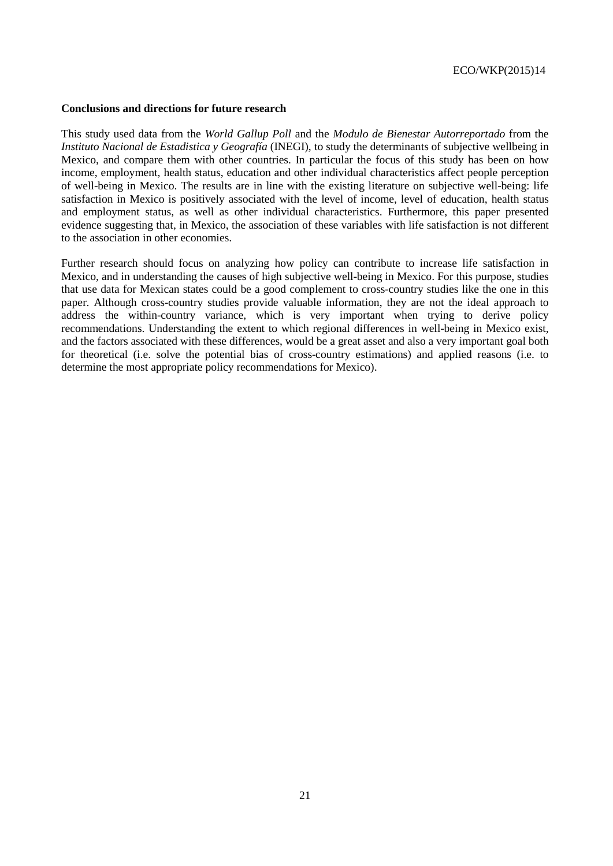#### **Conclusions and directions for future research**

This study used data from the *World Gallup Poll* and the *Modulo de Bienestar Autorreportado* from the *Instituto Nacional de Estadistica y Geografía* (INEGI), to study the determinants of subjective wellbeing in Mexico, and compare them with other countries. In particular the focus of this study has been on how income, employment, health status, education and other individual characteristics affect people perception of well-being in Mexico. The results are in line with the existing literature on subjective well-being: life satisfaction in Mexico is positively associated with the level of income, level of education, health status and employment status, as well as other individual characteristics. Furthermore, this paper presented evidence suggesting that, in Mexico, the association of these variables with life satisfaction is not different to the association in other economies.

Further research should focus on analyzing how policy can contribute to increase life satisfaction in Mexico, and in understanding the causes of high subjective well-being in Mexico. For this purpose, studies that use data for Mexican states could be a good complement to cross-country studies like the one in this paper. Although cross-country studies provide valuable information, they are not the ideal approach to address the within-country variance, which is very important when trying to derive policy recommendations. Understanding the extent to which regional differences in well-being in Mexico exist, and the factors associated with these differences, would be a great asset and also a very important goal both for theoretical (i.e. solve the potential bias of cross-country estimations) and applied reasons (i.e. to determine the most appropriate policy recommendations for Mexico).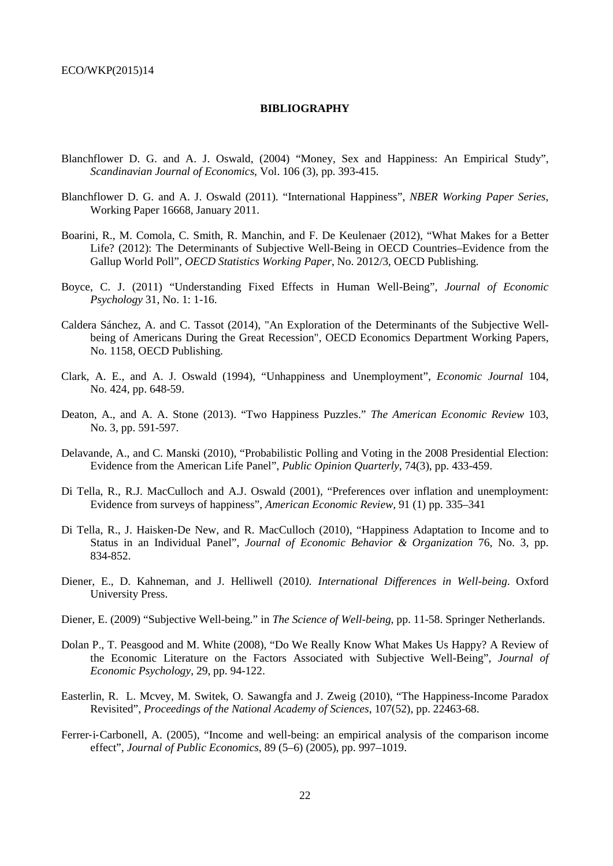## **BIBLIOGRAPHY**

- Blanchflower D. G. and A. J. Oswald, (2004) "Money, Sex and Happiness: An Empirical Study", *Scandinavian Journal of Economics*, Vol. 106 (3), pp. 393-415.
- Blanchflower D. G. and A. J. Oswald (2011). "International Happiness", *NBER Working Paper Series*, Working Paper 16668, January 2011.
- Boarini, R., M. Comola, C. Smith, R. Manchin, and F. De Keulenaer (2012), "What Makes for a Better Life? (2012): The Determinants of Subjective Well-Being in OECD Countries–Evidence from the Gallup World Poll", *OECD Statistics Working Paper*, No. 2012/3, OECD Publishing.
- Boyce, C. J. (2011) "Understanding Fixed Effects in Human Well-Being", *Journal of Economic Psychology* 31, No. 1: 1-16.
- Caldera Sánchez, A. and C. Tassot (2014), "An Exploration of the Determinants of the Subjective Wellbeing of Americans During the Great Recession", OECD Economics Department Working Papers, No. 1158, OECD Publishing.
- Clark, A. E., and A. J. Oswald (1994), "Unhappiness and Unemployment", *Economic Journal* 104, No. 424, pp. 648-59.
- Deaton, A., and A. A. Stone (2013). "Two Happiness Puzzles." *The American Economic Review* 103, No. 3, pp. 591-597.
- Delavande, A., and C. Manski (2010), "Probabilistic Polling and Voting in the 2008 Presidential Election: Evidence from the American Life Panel", *Public Opinion Quarterly*, 74(3), pp. 433-459.
- Di Tella, R., R.J. MacCulloch and A.J. Oswald (2001), "Preferences over inflation and unemployment: Evidence from surveys of happiness", *American Economic Review,* 91 (1) pp. 335–341
- Di Tella, R., J. Haisken-De New, and R. MacCulloch (2010), "Happiness Adaptation to Income and to Status in an Individual Panel", *Journal of Economic Behavior & Organization* 76, No. 3, pp. 834-852.
- Diener, E., D. Kahneman, and J. Helliwell (2010*). International Differences in Well-being*. Oxford University Press.
- Diener, E. (2009) "Subjective Well-being." in *The Science of Well-being*, pp. 11-58. Springer Netherlands.
- Dolan P., T. Peasgood and M. White (2008), "Do We Really Know What Makes Us Happy? A Review of the Economic Literature on the Factors Associated with Subjective Well-Being", *Journal of Economic Psychology*, 29, pp. 94-122.
- Easterlin, R. L. Mcvey, M. Switek, O. Sawangfa and J. Zweig (2010), "The Happiness-Income Paradox Revisited", *Proceedings of the National Academy of Sciences*, 107(52), pp. 22463-68.
- Ferrer-i-Carbonell, A. (2005), "Income and well-being: an empirical analysis of the comparison income effect", *Journal of Public Economics*, 89 (5–6) (2005), pp. 997–1019.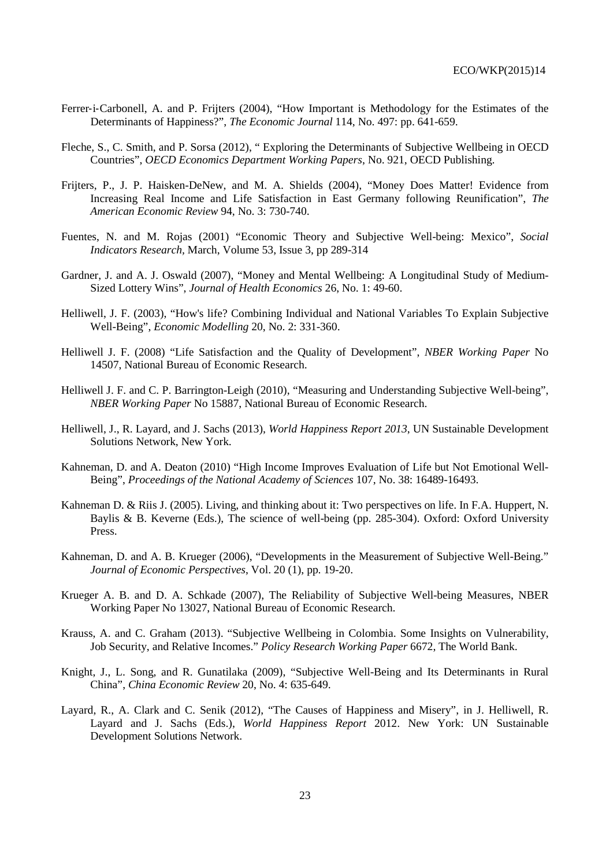- Ferrer‐i‐Carbonell, A. and P. Frijters (2004), "How Important is Methodology for the Estimates of the Determinants of Happiness?", *The Economic Journal* 114, No. 497: pp. 641-659.
- Fleche, S., C. Smith, and P. Sorsa (2012), " Exploring the Determinants of Subjective Wellbeing in OECD Countries", *OECD Economics Department Working Papers*, No. 921, OECD Publishing.
- Frijters, P., J. P. Haisken-DeNew, and M. A. Shields (2004), "Money Does Matter! Evidence from Increasing Real Income and Life Satisfaction in East Germany following Reunification", *The American Economic Review* 94, No. 3: 730-740.
- Fuentes, N. and M. Rojas (2001) "Economic Theory and Subjective Well-being: Mexico", *Social Indicators Research,* March, Volume 53, Issue 3, pp 289-314
- Gardner, J. and A. J. Oswald (2007), "Money and Mental Wellbeing: A Longitudinal Study of Medium-Sized Lottery Wins", *Journal of Health Economics* 26, No. 1: 49-60.
- Helliwell, J. F. (2003), "How's life? Combining Individual and National Variables To Explain Subjective Well-Being", *Economic Modelling* 20, No. 2: 331-360.
- Helliwell J. F. (2008) "Life Satisfaction and the Quality of Development", *NBER Working Paper* No 14507, National Bureau of Economic Research.
- Helliwell J. F. and C. P. Barrington-Leigh (2010), "Measuring and Understanding Subjective Well-being", *NBER Working Paper* No 15887, National Bureau of Economic Research.
- Helliwell, J., R. Layard, and J. Sachs (2013), *World Happiness Report 2013*, UN Sustainable Development Solutions Network, New York.
- Kahneman, D. and A. Deaton (2010) "High Income Improves Evaluation of Life but Not Emotional Well-Being", *Proceedings of the National Academy of Sciences* 107, No. 38: 16489-16493.
- Kahneman D. & Riis J. (2005). Living, and thinking about it: Two perspectives on life. In F.A. Huppert, N. Baylis & B. Keverne (Eds.), The science of well-being (pp. 285-304). Oxford: Oxford University Press.
- Kahneman, D. and A. B. Krueger (2006), "Developments in the Measurement of Subjective Well-Being." *Journal of Economic Perspectives*, Vol. 20 (1), pp. 19-20.
- Krueger A. B. and D. A. Schkade (2007), The Reliability of Subjective Well-being Measures, NBER Working Paper No 13027, National Bureau of Economic Research.
- Krauss, A. and C. Graham (2013). "Subjective Wellbeing in Colombia. Some Insights on Vulnerability, Job Security, and Relative Incomes." *Policy Research Working Paper* 6672, The World Bank.
- Knight, J., L. Song, and R. Gunatilaka (2009), "Subjective Well-Being and Its Determinants in Rural China", *China Economic Review* 20, No. 4: 635-649.
- Layard, R., A. Clark and C. Senik (2012), "The Causes of Happiness and Misery", in J. Helliwell, R. Layard and J. Sachs (Eds.), *World Happiness Report* 2012. New York: UN Sustainable Development Solutions Network.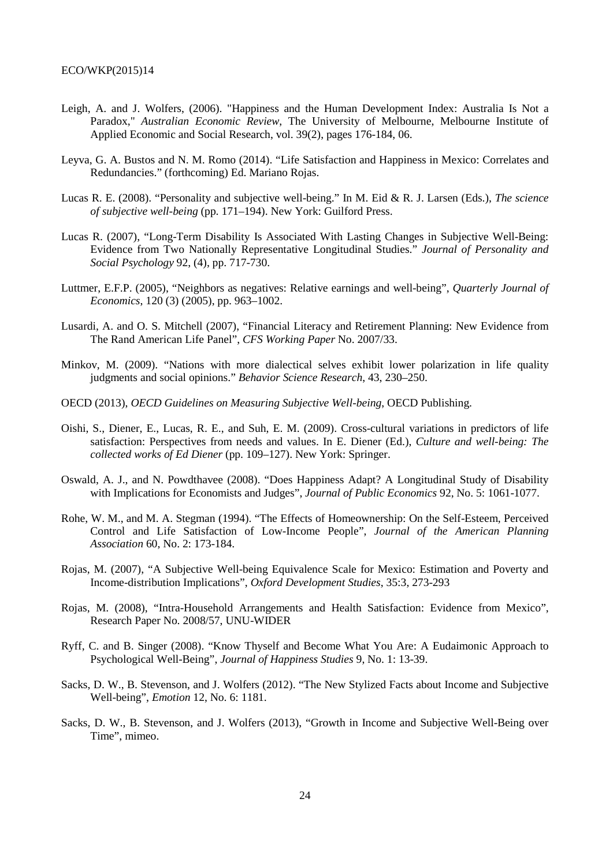- Leigh, A. and J. Wolfers, (2006). "Happiness and the Human Development Index: Australia Is Not a Paradox," *Australian Economic Review*, The University of Melbourne, Melbourne Institute of Applied Economic and Social Research, vol. 39(2), pages 176-184, 06.
- Leyva, G. A. Bustos and N. M. Romo (2014). "Life Satisfaction and Happiness in Mexico: Correlates and Redundancies." (forthcoming) Ed. Mariano Rojas.
- Lucas R. E. (2008). "Personality and subjective well-being." In M. Eid & R. J. Larsen (Eds.), *The science of subjective well-being* (pp. 171–194). New York: Guilford Press.
- Lucas R. (2007), "Long-Term Disability Is Associated With Lasting Changes in Subjective Well-Being: Evidence from Two Nationally Representative Longitudinal Studies." *Journal of Personality and Social Psychology* 92, (4), pp. 717-730.
- Luttmer, E.F.P. (2005), "Neighbors as negatives: Relative earnings and well-being", *Quarterly Journal of Economics*, 120 (3) (2005), pp. 963–1002.
- Lusardi, A. and O. S. Mitchell (2007), "Financial Literacy and Retirement Planning: New Evidence from The Rand American Life Panel", *CFS Working Paper* No. 2007/33.
- Minkov, M. (2009). "Nations with more dialectical selves exhibit lower polarization in life quality judgments and social opinions." *Behavior Science Research*, 43, 230–250.
- OECD (2013), *OECD Guidelines on Measuring Subjective Well-being*, OECD Publishing.
- Oishi, S., Diener, E., Lucas, R. E., and Suh, E. M. (2009). Cross-cultural variations in predictors of life satisfaction: Perspectives from needs and values. In E. Diener (Ed.), *Culture and well-being: The collected works of Ed Diener* (pp. 109–127). New York: Springer.
- Oswald, A. J., and N. Powdthavee (2008). "Does Happiness Adapt? A Longitudinal Study of Disability with Implications for Economists and Judges", *Journal of Public Economics* 92, No. 5: 1061-1077.
- Rohe, W. M., and M. A. Stegman (1994). "The Effects of Homeownership: On the Self-Esteem, Perceived Control and Life Satisfaction of Low-Income People", *Journal of the American Planning Association* 60, No. 2: 173-184.
- Rojas, M. (2007), "A Subjective Well-being Equivalence Scale for Mexico: Estimation and Poverty and Income-distribution Implications", *Oxford Development Studies*, 35:3, 273-293
- Rojas, M. (2008), "Intra-Household Arrangements and Health Satisfaction: Evidence from Mexico", Research Paper No. 2008/57, UNU-WIDER
- Ryff, C. and B. Singer (2008). "Know Thyself and Become What You Are: A Eudaimonic Approach to Psychological Well-Being", *Journal of Happiness Studies* 9, No. 1: 13-39.
- Sacks, D. W., B. Stevenson, and J. Wolfers (2012). "The New Stylized Facts about Income and Subjective Well-being", *Emotion* 12, No. 6: 1181.
- Sacks, D. W., B. Stevenson, and J. Wolfers (2013), "Growth in Income and Subjective Well-Being over Time", mimeo.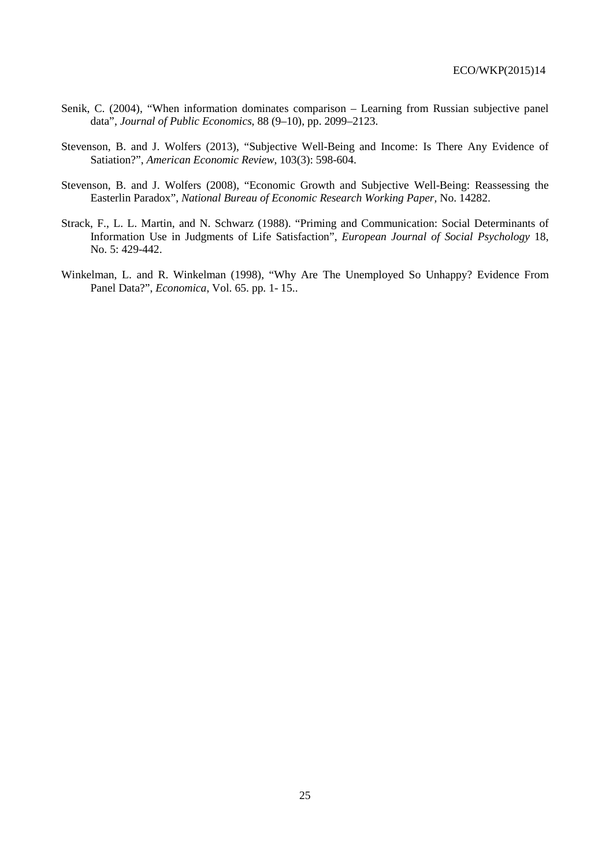- Senik, C. (2004), "When information dominates comparison Learning from Russian subjective panel data", *Journal of Public Economics*, 88 (9–10), pp. 2099–2123.
- Stevenson, B. and J. Wolfers (2013), "Subjective Well-Being and Income: Is There Any Evidence of Satiation?", *American Economic Review*, 103(3): 598-604.
- Stevenson, B. and J. Wolfers (2008), "Economic Growth and Subjective Well-Being: Reassessing the Easterlin Paradox", *National Bureau of Economic Research Working Paper,* No. 14282.
- Strack, F., L. L. Martin, and N. Schwarz (1988). "Priming and Communication: Social Determinants of Information Use in Judgments of Life Satisfaction", *European Journal of Social Psychology* 18, No. 5: 429-442.
- Winkelman, L. and R. Winkelman (1998), "Why Are The Unemployed So Unhappy? Evidence From Panel Data?", *Economica*, Vol. 65. pp. 1- 15..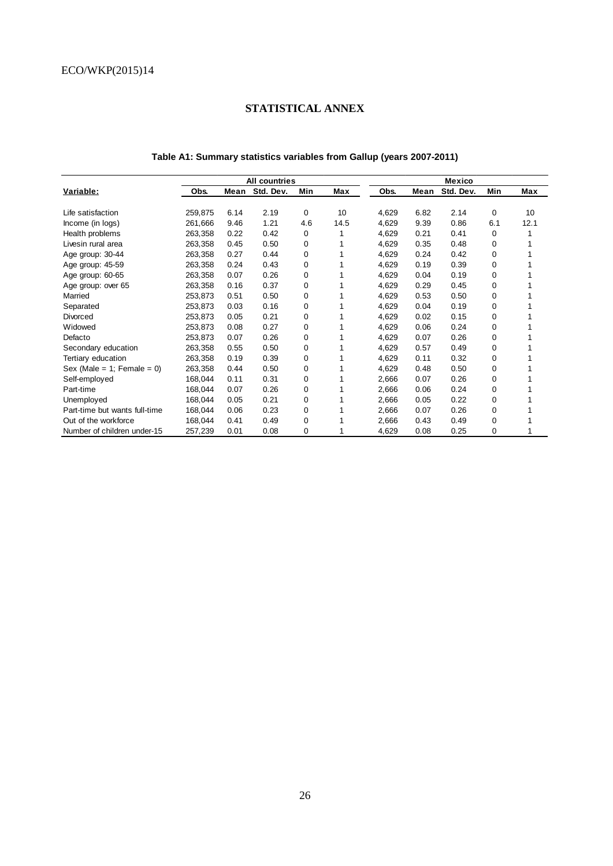# **STATISTICAL ANNEX**

|                               |         |      | All countries |          | <b>Mexico</b> |       |      |           |     |      |  |  |  |
|-------------------------------|---------|------|---------------|----------|---------------|-------|------|-----------|-----|------|--|--|--|
| Variable:                     | Obs.    | Mean | Std. Dev.     | Min      | Max           | Obs.  | Mean | Std. Dev. | Min | Max  |  |  |  |
| Life satisfaction             | 259,875 | 6.14 | 2.19          | 0        | 10            | 4,629 | 6.82 | 2.14      | 0   | 10   |  |  |  |
| Income (in logs)              | 261,666 | 9.46 | 1.21          | 4.6      | 14.5          | 4,629 | 9.39 | 0.86      | 6.1 | 12.1 |  |  |  |
| Health problems               | 263,358 | 0.22 | 0.42          | 0        |               | 4,629 | 0.21 | 0.41      | 0   |      |  |  |  |
| Livesin rural area            | 263,358 | 0.45 | 0.50          | 0        |               | 4,629 | 0.35 | 0.48      | 0   |      |  |  |  |
| Age group: 30-44              | 263,358 | 0.27 | 0.44          | 0        |               | 4,629 | 0.24 | 0.42      | 0   |      |  |  |  |
| Age group: 45-59              | 263,358 | 0.24 | 0.43          | 0        |               | 4,629 | 0.19 | 0.39      | 0   |      |  |  |  |
| Age group: 60-65              | 263,358 | 0.07 | 0.26          | 0        |               | 4,629 | 0.04 | 0.19      | 0   |      |  |  |  |
| Age group: over 65            | 263,358 | 0.16 | 0.37          | 0        |               | 4,629 | 0.29 | 0.45      | 0   |      |  |  |  |
| Married                       | 253,873 | 0.51 | 0.50          | 0        |               | 4,629 | 0.53 | 0.50      | 0   |      |  |  |  |
| Separated                     | 253,873 | 0.03 | 0.16          | 0        |               | 4,629 | 0.04 | 0.19      | 0   |      |  |  |  |
| Divorced                      | 253,873 | 0.05 | 0.21          | 0        |               | 4,629 | 0.02 | 0.15      | 0   |      |  |  |  |
| Widowed                       | 253,873 | 0.08 | 0.27          | 0        |               | 4,629 | 0.06 | 0.24      | 0   |      |  |  |  |
| Defacto                       | 253,873 | 0.07 | 0.26          | 0        |               | 4,629 | 0.07 | 0.26      | 0   |      |  |  |  |
| Secondary education           | 263,358 | 0.55 | 0.50          | 0        |               | 4,629 | 0.57 | 0.49      | 0   |      |  |  |  |
| Tertiary education            | 263,358 | 0.19 | 0.39          | 0        |               | 4,629 | 0.11 | 0.32      | 0   |      |  |  |  |
| Sex (Male = 1; Female = $0$ ) | 263,358 | 0.44 | 0.50          | 0        |               | 4,629 | 0.48 | 0.50      | 0   |      |  |  |  |
| Self-employed                 | 168,044 | 0.11 | 0.31          | 0        |               | 2,666 | 0.07 | 0.26      | 0   |      |  |  |  |
| Part-time                     | 168,044 | 0.07 | 0.26          | 0        |               | 2,666 | 0.06 | 0.24      | 0   |      |  |  |  |
| Unemployed                    | 168,044 | 0.05 | 0.21          | 0        |               | 2,666 | 0.05 | 0.22      | 0   |      |  |  |  |
| Part-time but wants full-time | 168,044 | 0.06 | 0.23          | 0        |               | 2,666 | 0.07 | 0.26      | 0   |      |  |  |  |
| Out of the workforce          | 168,044 | 0.41 | 0.49          | 0        |               | 2,666 | 0.43 | 0.49      | 0   |      |  |  |  |
| Number of children under-15   | 257,239 | 0.01 | 0.08          | $\Omega$ |               | 4,629 | 0.08 | 0.25      | 0   |      |  |  |  |

# **Table A1: Summary statistics variables from Gallup (years 2007-2011)**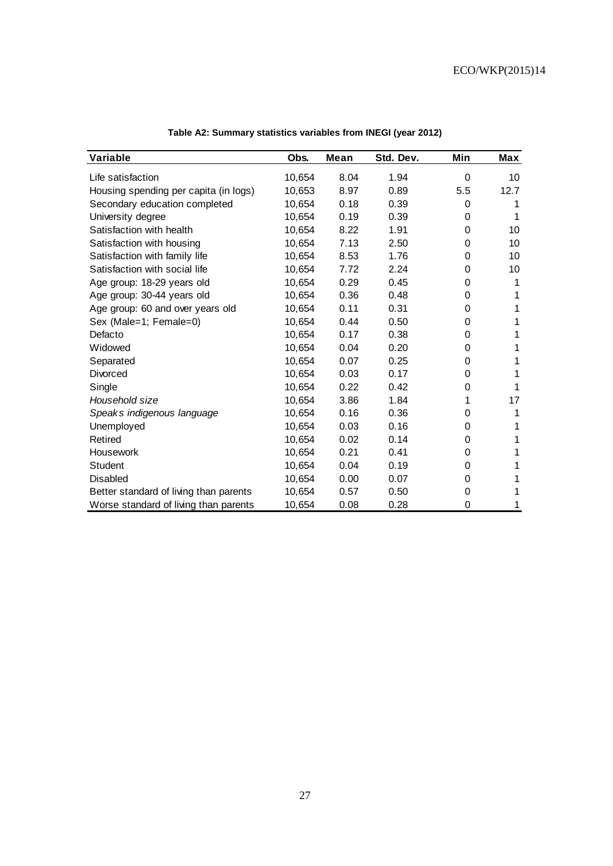| Variable                               | Obs.   | Mean | Std. Dev. | Min | Max  |
|----------------------------------------|--------|------|-----------|-----|------|
| Life satisfaction                      | 10,654 | 8.04 | 1.94      | 0   | 10   |
| Housing spending per capita (in logs)  | 10,653 | 8.97 | 0.89      | 5.5 | 12.7 |
| Secondary education completed          | 10,654 | 0.18 | 0.39      | 0   |      |
| University degree                      | 10,654 | 0.19 | 0.39      | 0   | 1    |
| Satisfaction with health               | 10,654 | 8.22 | 1.91      | 0   | 10   |
| Satisfaction with housing              | 10,654 | 7.13 | 2.50      | 0   | 10   |
| Satisfaction with family life          | 10,654 | 8.53 | 1.76      | 0   | 10   |
| Satisfaction with social life          | 10,654 | 7.72 | 2.24      | 0   | 10   |
| Age group: 18-29 years old             | 10,654 | 0.29 | 0.45      | 0   | 1    |
| Age group: 30-44 years old             | 10,654 | 0.36 | 0.48      | 0   | 1    |
| Age group: 60 and over years old       | 10,654 | 0.11 | 0.31      | 0   |      |
| Sex (Male=1; Female=0)                 | 10,654 | 0.44 | 0.50      | 0   |      |
| Defacto                                | 10,654 | 0.17 | 0.38      | 0   | 1    |
| Widowed                                | 10,654 | 0.04 | 0.20      | 0   |      |
| Separated                              | 10,654 | 0.07 | 0.25      | 0   | 1    |
| Divorced                               | 10,654 | 0.03 | 0.17      | 0   | 1    |
| Single                                 | 10,654 | 0.22 | 0.42      | 0   |      |
| Household size                         | 10,654 | 3.86 | 1.84      | 1   | 17   |
| Speaks indigenous language             | 10,654 | 0.16 | 0.36      | 0   | 1    |
| Unemployed                             | 10,654 | 0.03 | 0.16      | 0   | 1    |
| Retired                                | 10,654 | 0.02 | 0.14      | 0   | 1    |
| Housework                              | 10,654 | 0.21 | 0.41      | 0   | 1    |
| Student                                | 10,654 | 0.04 | 0.19      | 0   |      |
| Disabled                               | 10,654 | 0.00 | 0.07      | 0   |      |
| Better standard of living than parents | 10,654 | 0.57 | 0.50      | 0   |      |
| Worse standard of living than parents  | 10,654 | 0.08 | 0.28      | 0   | 1    |

**Table A2: Summary statistics variables from INEGI (year 2012)**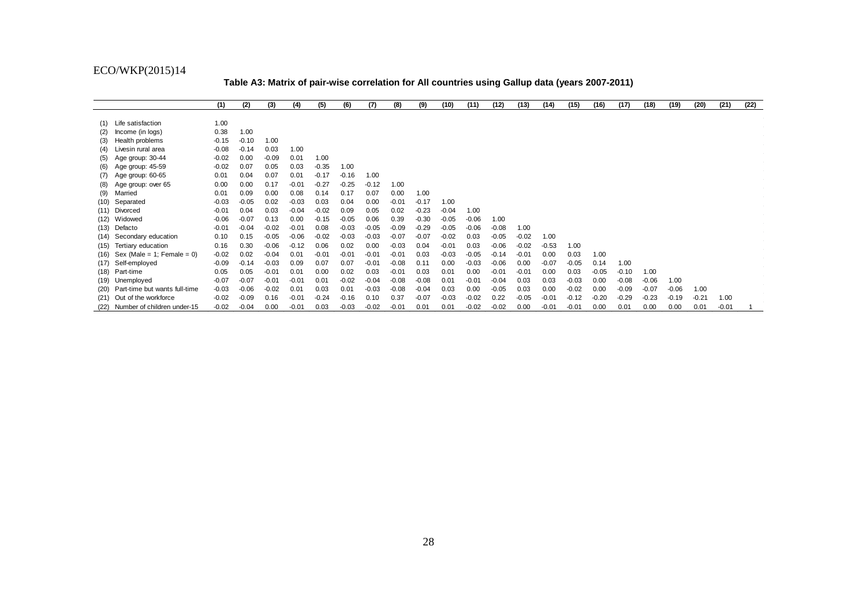**Table A3: Matrix of pair-wise correlation for All countries using Gallup data (years 2007-2011)** 

|      |                               | (1)     | (2)     | (3)     | (4)     | (5)     | (6)     | (7)     | (8)     | (9)     | (10)    | (11)    | (12)    | (13)    | (14)    | (15)    | (16)    | (17)    | (18)    | (19)    | (20)    | (21)    | (22) |
|------|-------------------------------|---------|---------|---------|---------|---------|---------|---------|---------|---------|---------|---------|---------|---------|---------|---------|---------|---------|---------|---------|---------|---------|------|
|      |                               |         |         |         |         |         |         |         |         |         |         |         |         |         |         |         |         |         |         |         |         |         |      |
| (1)  | Life satisfaction             | 1.00    |         |         |         |         |         |         |         |         |         |         |         |         |         |         |         |         |         |         |         |         |      |
| (2)  | Income (in logs)              | 0.38    | 1.00    |         |         |         |         |         |         |         |         |         |         |         |         |         |         |         |         |         |         |         |      |
| (3)  | Health problems               | $-0.15$ | $-0.10$ | 1.00    |         |         |         |         |         |         |         |         |         |         |         |         |         |         |         |         |         |         |      |
| (4)  | Livesin rural area            | $-0.08$ | $-0.14$ | 0.03    | 1.00    |         |         |         |         |         |         |         |         |         |         |         |         |         |         |         |         |         |      |
| (5)  | Age group: 30-44              | $-0.02$ | 0.00    | $-0.09$ | 0.01    | 1.00    |         |         |         |         |         |         |         |         |         |         |         |         |         |         |         |         |      |
| (6)  | Age group: 45-59              | $-0.02$ | 0.07    | 0.05    | 0.03    | $-0.35$ | 1.00    |         |         |         |         |         |         |         |         |         |         |         |         |         |         |         |      |
| (7)  | Age group: 60-65              | 0.01    | 0.04    | 0.07    | 0.01    | $-0.17$ | $-0.16$ | 1.00    |         |         |         |         |         |         |         |         |         |         |         |         |         |         |      |
| (8)  | Age group: over 65            | 0.00    | 0.00    | 0.17    | $-0.01$ | $-0.27$ | $-0.25$ | $-0.12$ | 1.00    |         |         |         |         |         |         |         |         |         |         |         |         |         |      |
| (9)  | Married                       | 0.01    | 0.09    | 0.00    | 0.08    | 0.14    | 0.17    | 0.07    | 0.00    | 1.00    |         |         |         |         |         |         |         |         |         |         |         |         |      |
| (10) | Separated                     | $-0.03$ | $-0.05$ | 0.02    | $-0.03$ | 0.03    | 0.04    | 0.00    | $-0.01$ | $-0.17$ | 1.00    |         |         |         |         |         |         |         |         |         |         |         |      |
| (11) | Divorced                      | $-0.01$ | 0.04    | 0.03    | $-0.04$ | $-0.02$ | 0.09    | 0.05    | 0.02    | $-0.23$ | $-0.04$ | 1.00    |         |         |         |         |         |         |         |         |         |         |      |
| (12) | Widowed                       | $-0.06$ | $-0.07$ | 0.13    | 0.00    | $-0.15$ | $-0.05$ | 0.06    | 0.39    | $-0.30$ | $-0.05$ | $-0.06$ | 1.00    |         |         |         |         |         |         |         |         |         |      |
| (13) | Defacto                       | $-0.01$ | $-0.04$ | $-0.02$ | $-0.01$ | 0.08    | $-0.03$ | $-0.05$ | $-0.09$ | $-0.29$ | $-0.05$ | $-0.06$ | $-0.08$ | 1.00    |         |         |         |         |         |         |         |         |      |
| (14) | Secondary education           | 0.10    | 0.15    | $-0.05$ | $-0.06$ | $-0.02$ | $-0.03$ | $-0.03$ | $-0.07$ | $-0.07$ | $-0.02$ | 0.03    | $-0.05$ | $-0.02$ | 1.00    |         |         |         |         |         |         |         |      |
| (15) | Tertiary education            | 0.16    | 0.30    | $-0.06$ | $-0.12$ | 0.06    | 0.02    | 0.00    | $-0.03$ | 0.04    | $-0.01$ | 0.03    | $-0.06$ | $-0.02$ | $-0.53$ | 1.00    |         |         |         |         |         |         |      |
| (16) | Sex (Male = 1; Female = $0$ ) | $-0.02$ | 0.02    | $-0.04$ | 0.01    | $-0.01$ | $-0.01$ | $-0.01$ | $-0.01$ | 0.03    | $-0.03$ | $-0.05$ | $-0.14$ | $-0.01$ | 0.00    | 0.03    | 1.00    |         |         |         |         |         |      |
| (17) | Self-employed                 | $-0.09$ | $-0.14$ | $-0.03$ | 0.09    | 0.07    | 0.07    | $-0.01$ | $-0.08$ | 0.11    | 0.00    | $-0.03$ | $-0.06$ | 0.00    | $-0.07$ | $-0.05$ | 0.14    | 1.00    |         |         |         |         |      |
| (18) | Part-time                     | 0.05    | 0.05    | $-0.01$ | 0.01    | 0.00    | 0.02    | 0.03    | $-0.01$ | 0.03    | 0.01    | 0.00    | $-0.01$ | $-0.01$ | 0.00    | 0.03    | $-0.05$ | $-0.10$ | 1.00    |         |         |         |      |
| (19) | Unemployed                    | $-0.07$ | $-0.07$ | $-0.01$ | $-0.01$ | 0.01    | $-0.02$ | $-0.04$ | $-0.08$ | $-0.08$ | 0.01    | $-0.01$ | $-0.04$ | 0.03    | 0.03    | $-0.03$ | 0.00    | $-0.08$ | $-0.06$ | 1.00    |         |         |      |
| (20) | Part-time but wants full-time | $-0.03$ | $-0.06$ | $-0.02$ | 0.01    | 0.03    | 0.01    | $-0.03$ | $-0.08$ | $-0.04$ | 0.03    | 0.00    | $-0.05$ | 0.03    | 0.00    | $-0.02$ | 0.00    | $-0.09$ | $-0.07$ | $-0.06$ | 1.00    |         |      |
| (21) | Out of the workforce          | $-0.02$ | $-0.09$ | 0.16    | $-0.01$ | $-0.24$ | $-0.16$ | 0.10    | 0.37    | $-0.07$ | $-0.03$ | $-0.02$ | 0.22    | $-0.05$ | $-0.01$ | $-0.12$ | $-0.20$ | $-0.29$ | $-0.23$ | $-0.19$ | $-0.21$ | 1.00    |      |
| (22) | Number of children under-15   | $-0.02$ | $-0.04$ | 0.00    | $-0.01$ | 0.03    | $-0.03$ | $-0.02$ | $-0.01$ | 0.01    | 0.01    | $-0.02$ | $-0.02$ | 0.00    | $-0.01$ | $-0.01$ | 0.00    | 0.01    | 0.00    | 0.00    | 0.01    | $-0.01$ |      |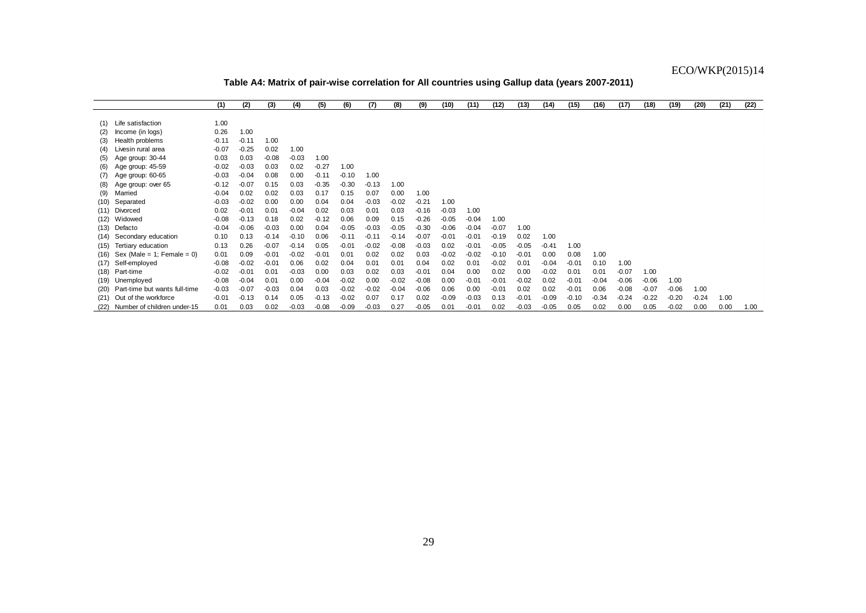**Table A4: Matrix of pair-wise correlation for All countries using Gallup data (years 2007-2011)** 

|      |                               | (1)     | (2)     | (3)     | (4)     | (5)     | (6)     | (7)     | (8)     | (9)     | (10)    | (11)    | (12)    | (13)    | (14)    | (15)    | (16)    | (17)    | (18)    | (19)    | (20)    | (21) | (22) |
|------|-------------------------------|---------|---------|---------|---------|---------|---------|---------|---------|---------|---------|---------|---------|---------|---------|---------|---------|---------|---------|---------|---------|------|------|
|      |                               |         |         |         |         |         |         |         |         |         |         |         |         |         |         |         |         |         |         |         |         |      |      |
| (1)  | Life satisfaction             | 1.00    |         |         |         |         |         |         |         |         |         |         |         |         |         |         |         |         |         |         |         |      |      |
| (2)  | Income (in logs)              | 0.26    | 1.00    |         |         |         |         |         |         |         |         |         |         |         |         |         |         |         |         |         |         |      |      |
| (3)  | Health problems               | $-0.11$ | $-0.11$ | 1.00    |         |         |         |         |         |         |         |         |         |         |         |         |         |         |         |         |         |      |      |
| (4)  | Livesin rural area            | $-0.07$ | $-0.25$ | 0.02    | 1.00    |         |         |         |         |         |         |         |         |         |         |         |         |         |         |         |         |      |      |
| (5)  | Age group: 30-44              | 0.03    | 0.03    | $-0.08$ | $-0.03$ | 1.00    |         |         |         |         |         |         |         |         |         |         |         |         |         |         |         |      |      |
| (6)  | Age group: 45-59              | $-0.02$ | $-0.03$ | 0.03    | 0.02    | $-0.27$ | 1.00    |         |         |         |         |         |         |         |         |         |         |         |         |         |         |      |      |
| (7)  | Age group: 60-65              | $-0.03$ | $-0.04$ | 0.08    | 0.00    | $-0.11$ | $-0.10$ | 1.00    |         |         |         |         |         |         |         |         |         |         |         |         |         |      |      |
| (8)  | Age group: over 65            | $-0.12$ | $-0.07$ | 0.15    | 0.03    | $-0.35$ | $-0.30$ | $-0.13$ | 1.00    |         |         |         |         |         |         |         |         |         |         |         |         |      |      |
| (9)  | Married                       | $-0.04$ | 0.02    | 0.02    | 0.03    | 0.17    | 0.15    | 0.07    | 0.00    | 1.00    |         |         |         |         |         |         |         |         |         |         |         |      |      |
| (10) | Separated                     | $-0.03$ | $-0.02$ | 0.00    | 0.00    | 0.04    | 0.04    | $-0.03$ | $-0.02$ | $-0.21$ | 1.00    |         |         |         |         |         |         |         |         |         |         |      |      |
| (11) | Divorced                      | 0.02    | $-0.01$ | 0.01    | $-0.04$ | 0.02    | 0.03    | 0.01    | 0.03    | $-0.16$ | $-0.03$ | 1.00    |         |         |         |         |         |         |         |         |         |      |      |
| (12) | Widowed                       | $-0.08$ | $-0.13$ | 0.18    | 0.02    | $-0.12$ | 0.06    | 0.09    | 0.15    | $-0.26$ | $-0.05$ | $-0.04$ | 1.00    |         |         |         |         |         |         |         |         |      |      |
| (13) | Defacto                       | $-0.04$ | $-0.06$ | $-0.03$ | 0.00    | 0.04    | $-0.05$ | $-0.03$ | $-0.05$ | $-0.30$ | $-0.06$ | $-0.04$ | $-0.07$ | 1.00    |         |         |         |         |         |         |         |      |      |
| (14) | Secondary education           | 0.10    | 0.13    | $-0.14$ | $-0.10$ | 0.06    | $-0.11$ | $-0.11$ | $-0.14$ | $-0.07$ | $-0.01$ | $-0.01$ | $-0.19$ | 0.02    | 1.00    |         |         |         |         |         |         |      |      |
| (15) | Tertiary education            | 0.13    | 0.26    | $-0.07$ | $-0.14$ | 0.05    | $-0.01$ | $-0.02$ | $-0.08$ | $-0.03$ | 0.02    | $-0.01$ | $-0.05$ | $-0.05$ | $-0.41$ | 1.00    |         |         |         |         |         |      |      |
| (16) | Sex (Male = 1; Female = $0$ ) | 0.01    | 0.09    | $-0.01$ | $-0.02$ | $-0.01$ | 0.01    | 0.02    | 0.02    | 0.03    | $-0.02$ | $-0.02$ | $-0.10$ | $-0.01$ | 0.00    | 0.08    | 1.00    |         |         |         |         |      |      |
| (17) | Self-employed                 | $-0.08$ | $-0.02$ | $-0.01$ | 0.06    | 0.02    | 0.04    | 0.01    | 0.01    | 0.04    | 0.02    | 0.01    | $-0.02$ | 0.01    | $-0.04$ | $-0.01$ | 0.10    | 1.00    |         |         |         |      |      |
| (18) | Part-time                     | $-0.02$ | $-0.01$ | 0.01    | $-0.03$ | 0.00    | 0.03    | 0.02    | 0.03    | $-0.01$ | 0.04    | 0.00    | 0.02    | 0.00    | $-0.02$ | 0.01    | 0.01    | $-0.07$ | 1.00    |         |         |      |      |
| (19) | Unemployed                    | $-0.08$ | $-0.04$ | 0.01    | 0.00    | $-0.04$ | $-0.02$ | 0.00    | $-0.02$ | $-0.08$ | 0.00    | $-0.01$ | $-0.01$ | $-0.02$ | 0.02    | $-0.01$ | $-0.04$ | $-0.06$ | $-0.06$ | 1.00    |         |      |      |
| (20) | Part-time but wants full-time | $-0.03$ | $-0.07$ | $-0.03$ | 0.04    | 0.03    | $-0.02$ | $-0.02$ | $-0.04$ | $-0.06$ | 0.06    | 0.00    | $-0.01$ | 0.02    | 0.02    | $-0.01$ | 0.06    | $-0.08$ | $-0.07$ | $-0.06$ | 1.00    |      |      |
| (21) | Out of the workforce          | $-0.01$ | $-0.13$ | 0.14    | 0.05    | $-0.13$ | $-0.02$ | 0.07    | 0.17    | 0.02    | $-0.09$ | $-0.03$ | 0.13    | $-0.01$ | $-0.09$ | $-0.10$ | $-0.34$ | $-0.24$ | $-0.22$ | $-0.20$ | $-0.24$ | 1.00 |      |
| (22) | Number of children under-15   | 0.01    | 0.03    | 0.02    | $-0.03$ | $-0.08$ | $-0.09$ | $-0.03$ | 0.27    | $-0.05$ | 0.01    | $-0.01$ | 0.02    | $-0.03$ | $-0.05$ | 0.05    | 0.02    | 0.00    | 0.05    | $-0.02$ | 0.00    | 0.00 | 1.00 |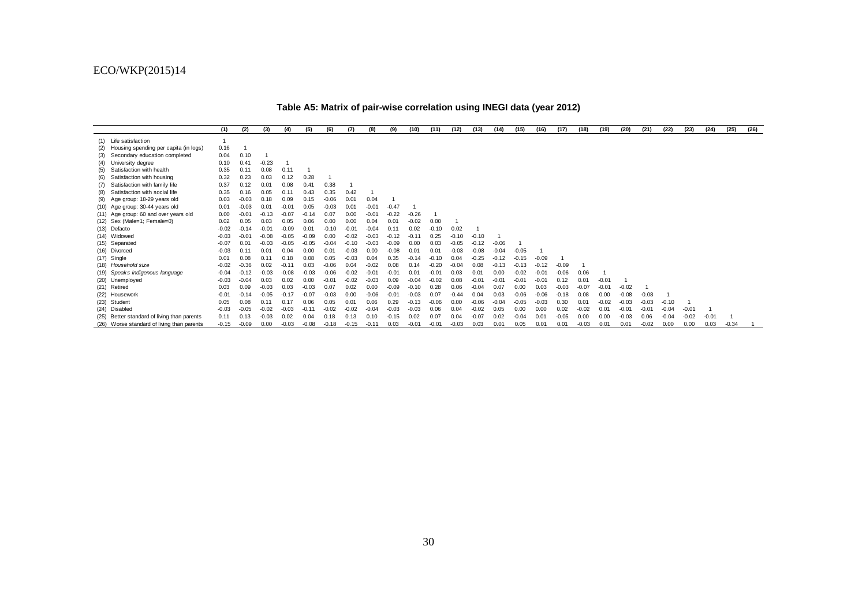**Table A5: Matrix of pair-wise correlation using INEGI data (year 2012)** 

|     |                                             | (1)     | (2)     | (3)     | (4)     | (5)     | (6)     | (7)     | (8)     | (9)     | (10)    | (11)    | (12)    | (13)    | (14)    | (15)    | (16)    | (17)    | (18)    | (19)    | (20)    | (21)    | (22)    | (23)    | (24)    | (25)    | (26) |
|-----|---------------------------------------------|---------|---------|---------|---------|---------|---------|---------|---------|---------|---------|---------|---------|---------|---------|---------|---------|---------|---------|---------|---------|---------|---------|---------|---------|---------|------|
|     | (1) Life satisfaction                       |         |         |         |         |         |         |         |         |         |         |         |         |         |         |         |         |         |         |         |         |         |         |         |         |         |      |
|     | (2) Housing spending per capita (in logs)   | 0.16    |         |         |         |         |         |         |         |         |         |         |         |         |         |         |         |         |         |         |         |         |         |         |         |         |      |
| (3) | Secondary education completed               | 0.04    | 0.10    |         |         |         |         |         |         |         |         |         |         |         |         |         |         |         |         |         |         |         |         |         |         |         |      |
| (4) | University degree                           | 0.10    | 0.41    | $-0.23$ |         |         |         |         |         |         |         |         |         |         |         |         |         |         |         |         |         |         |         |         |         |         |      |
| (5) | Satisfaction with health                    | 0.35    | 0.11    | 0.08    | 0.11    |         |         |         |         |         |         |         |         |         |         |         |         |         |         |         |         |         |         |         |         |         |      |
| (6) | Satisfaction with housing                   | 0.32    | 0.23    | 0.03    | 0.12    | 0.28    |         |         |         |         |         |         |         |         |         |         |         |         |         |         |         |         |         |         |         |         |      |
| (7) | Satisfaction with family life               | 0.37    | 0.12    | 0.01    | 0.08    | 0.41    | 0.38    |         |         |         |         |         |         |         |         |         |         |         |         |         |         |         |         |         |         |         |      |
| (8) | Satisfaction with social life               | 0.35    | 0.16    | 0.05    | 0.11    | 0.43    | 0.35    | 0.42    |         |         |         |         |         |         |         |         |         |         |         |         |         |         |         |         |         |         |      |
|     | (9) Age group: 18-29 years old              | 0.03    | $-0.03$ | 0.18    | 0.09    | 0.15    | $-0.06$ | 0.01    | 0.04    |         |         |         |         |         |         |         |         |         |         |         |         |         |         |         |         |         |      |
|     | (10) Age group: 30-44 years old             | 0.01    | $-0.03$ | 0.01    | $-0.01$ | 0.05    | $-0.03$ | 0.01    | $-0.01$ | $-0.47$ |         |         |         |         |         |         |         |         |         |         |         |         |         |         |         |         |      |
|     | (11) Age group: 60 and over years old       | 0.00    | $-0.01$ | $-0.13$ | $-0.07$ | $-0.14$ | 0.07    | 0.00    | $-0.01$ | $-0.22$ | $-0.26$ |         |         |         |         |         |         |         |         |         |         |         |         |         |         |         |      |
|     | $(12)$ Sex (Male=1; Female=0)               | 0.02    | 0.05    | 0.03    | 0.05    | 0.06    | 0.00    | 0.00    | 0.04    | 0.01    | $-0.02$ | 0.00    |         |         |         |         |         |         |         |         |         |         |         |         |         |         |      |
|     | (13) Defacto                                | $-0.02$ | $-0.14$ | $-0.01$ | $-0.09$ | 0.01    | $-0.10$ | $-0.01$ | $-0.04$ | 0.11    | 0.02    | $-0.10$ | 0.02    |         |         |         |         |         |         |         |         |         |         |         |         |         |      |
|     | (14) Widowed                                | $-0.03$ | $-0.01$ | $-0.08$ | $-0.05$ | $-0.09$ | 0.00    | $-0.02$ | $-0.03$ | $-0.12$ | $-0.11$ | 0.25    | $-0.10$ | $-0.10$ |         |         |         |         |         |         |         |         |         |         |         |         |      |
|     | (15) Separated                              | $-0.07$ | 0.01    | $-0.03$ | $-0.05$ | $-0.05$ | $-0.04$ | $-0.10$ | $-0.03$ | $-0.09$ | 0.00    | 0.03    | $-0.05$ | $-0.12$ | $-0.06$ |         |         |         |         |         |         |         |         |         |         |         |      |
|     | (16) Divorced                               | $-0.03$ | 0.11    | 0.01    | 0.04    | 0.00    | 0.01    | $-0.03$ | 0.00    | $-0.08$ | 0.01    | 0.01    | $-0.03$ | $-0.08$ | $-0.04$ | $-0.05$ |         |         |         |         |         |         |         |         |         |         |      |
|     | $(17)$ Single                               | 0.01    | 0.08    | 0.11    | 0.18    | 0.08    | 0.05    | $-0.03$ | 0.04    | 0.35    | $-0.14$ | $-0.10$ | 0.04    | $-0.25$ | $-0.12$ | $-0.15$ | $-0.09$ |         |         |         |         |         |         |         |         |         |      |
|     | (18) Household size                         | $-0.02$ | $-0.36$ | 0.02    | $-0.11$ | 0.03    | $-0.06$ | 0.04    | $-0.02$ | 0.08    | 0.14    | $-0.20$ | $-0.04$ | 0.08    | $-0.13$ | $-0.13$ | $-0.12$ | $-0.09$ |         |         |         |         |         |         |         |         |      |
|     | (19) Speaks indigenous language             | $-0.04$ | $-0.12$ | $-0.03$ | $-0.08$ | $-0.03$ | $-0.06$ | $-0.02$ | $-0.01$ | $-0.01$ | 0.01    | $-0.01$ | 0.03    | 0.01    | 0.00    | $-0.02$ | $-0.02$ | $-0.06$ | 0.06    |         |         |         |         |         |         |         |      |
|     | (20) Unemployed                             | $-0.03$ | $-0.04$ | 0.03    | 0.02    | 0.00    | $-0.01$ | $-0.02$ | $-0.03$ | 0.09    | $-0.04$ | $-0.02$ | 0.08    | $-0.01$ | $-0.01$ | $-0.01$ | $-0.01$ | 0.12    | 0.01    | $-0.01$ |         |         |         |         |         |         |      |
|     | (21) Retired                                | 0.03    | 0.09    | $-0.03$ | 0.03    | $-0.03$ | 0.07    | 0.02    | 0.00    | $-0.09$ | $-0.10$ | 0.28    | 0.06    | $-0.04$ | 0.07    | 0.00    | 0.03    | $-0.03$ | $-0.07$ | $-0.01$ | $-0.02$ |         |         |         |         |         |      |
|     | (22) Housework                              | $-0.01$ | $-0.14$ | $-0.05$ | $-0.17$ | $-0.07$ | $-0.03$ | 0.00    | $-0.06$ | $-0.01$ | $-0.03$ | 0.07    | $-0.44$ | 0.04    | 0.03    | $-0.06$ | $-0.06$ | $-0.18$ | 0.08    | 0.00    | $-0.08$ | $-0.08$ |         |         |         |         |      |
|     | (23) Student                                | 0.05    | 0.08    | 0.11    | 0.17    | 0.06    | 0.05    | 0.01    | 0.06    | 0.29    | $-0.13$ | $-0.06$ | 0.00    | $-0.06$ | $-0.04$ | $-0.05$ | $-0.03$ | 0.30    | 0.01    | $-0.02$ | $-0.03$ | $-0.03$ | $-0.10$ |         |         |         |      |
|     | (24) Disabled                               | $-0.03$ | $-0.05$ | $-0.02$ | $-0.03$ | $-0.11$ | $-0.02$ | $-0.02$ | $-0.04$ | $-0.03$ | $-0.03$ | 0.06    | 0.04    | $-0.02$ | 0.05    | 0.00    | 0.00    | 0.02    | $-0.02$ | 0.01    | $-0.01$ | $-0.01$ | $-0.04$ | $-0.01$ |         |         |      |
|     | (25) Better standard of living than parents | 0.11    | 0.13    | $-0.03$ | 0.02    | 0.04    | 0.18    | 0.13    | 0.10    | $-0.15$ | 0.02    | 0.07    | 0.04    | $-0.07$ | 0.02    | $-0.04$ | 0.01    | $-0.05$ | 0.00    | 0.00    | $-0.03$ | 0.06    | $-0.04$ | $-0.02$ | $-0.01$ |         |      |
|     | (26) Worse standard of living than parents  | $-0.15$ | $-0.09$ | 0.00    | $-0.03$ | $-0.08$ | $-0.18$ | $-0.15$ | $-0.11$ | 0.03    | $-0.01$ | $-0.01$ | $-0.03$ | 0.03    | 0.01    | 0.05    | 0.01    | 0.01    | $-0.03$ | 0.01    | 0.01    | $-0.02$ | 0.00    | 0.00    | 0.03    | $-0.34$ |      |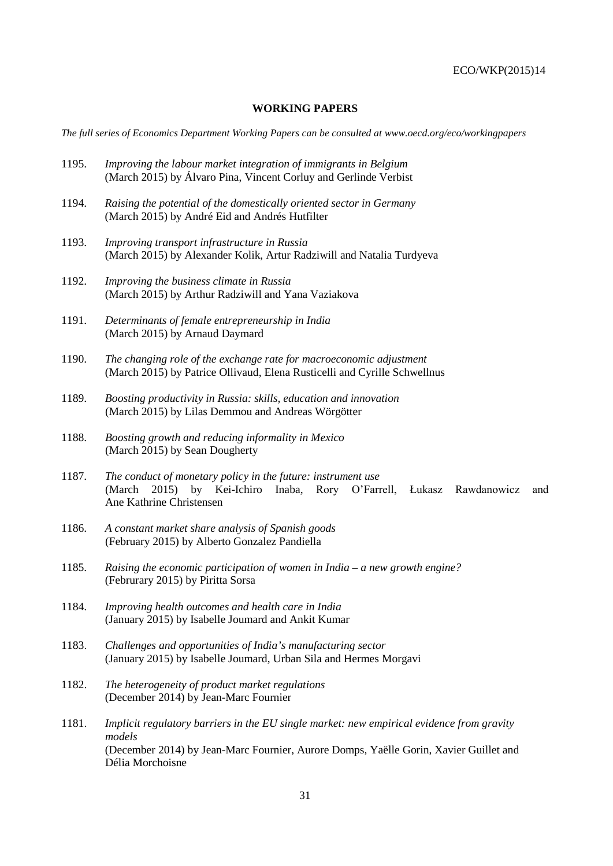# **WORKING PAPERS**

*The full series of Economics Department Working Papers can be consulted at www.oecd.org/eco/workingpapers*

- 1195. *Improving the labour market integration of immigrants in Belgium* (March 2015) by Álvaro Pina, Vincent Corluy and Gerlinde Verbist
- 1194. *Raising the potential of the domestically oriented sector in Germany* (March 2015) by André Eid and Andrés Hutfilter
- 1193. *Improving transport infrastructure in Russia* (March 2015) by Alexander Kolik, Artur Radziwill and Natalia Turdyeva
- 1192. *Improving the business climate in Russia* (March 2015) by Arthur Radziwill and Yana Vaziakova
- 1191. *Determinants of female entrepreneurship in India* (March 2015) by Arnaud Daymard
- 1190. *The changing role of the exchange rate for macroeconomic adjustment* (March 2015) by Patrice Ollivaud, Elena Rusticelli and Cyrille Schwellnus
- 1189. *Boosting productivity in Russia: skills, education and innovation* (March 2015) by Lilas Demmou and Andreas Wörgötter
- 1188. *Boosting growth and reducing informality in Mexico* (March 2015) by Sean Dougherty
- 1187. *The conduct of monetary policy in the future: instrument use* (March 2015) by Kei-Ichiro Inaba, Rory O'Farrell, Łukasz Rawdanowicz and Ane Kathrine Christensen
- 1186. *A constant market share analysis of Spanish goods* (February 2015) by Alberto Gonzalez Pandiella
- 1185. *Raising the economic participation of women in India – a new growth engine?* (Februrary 2015) by Piritta Sorsa
- 1184. *Improving health outcomes and health care in India* (January 2015) by Isabelle Joumard and Ankit Kumar
- 1183. *Challenges and opportunities of India's manufacturing sector* (January 2015) by Isabelle Joumard, Urban Sila and Hermes Morgavi
- 1182. *The heterogeneity of product market regulations* (December 2014) by Jean-Marc Fournier
- 1181. *Implicit regulatory barriers in the EU single market: new empirical evidence from gravity models* (December 2014) by Jean-Marc Fournier, Aurore Domps, Yaëlle Gorin, Xavier Guillet and Délia Morchoisne